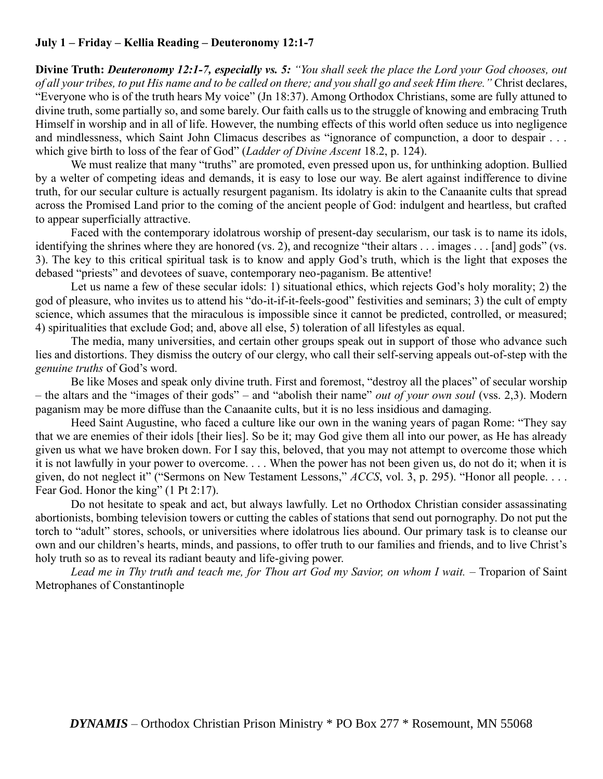## **July 1 – Friday – Kellia Reading – Deuteronomy 12:1-7**

**Divine Truth:** *Deuteronomy 12:1-7, especially vs. 5: "You shall seek the place the Lord your God chooses, out of all your tribes, to put His name and to be called on there; and you shall go and seek Him there."* Christ declares, "Everyone who is of the truth hears My voice" (Jn 18:37). Among Orthodox Christians, some are fully attuned to divine truth, some partially so, and some barely. Our faith calls us to the struggle of knowing and embracing Truth Himself in worship and in all of life. However, the numbing effects of this world often seduce us into negligence and mindlessness, which Saint John Climacus describes as "ignorance of compunction, a door to despair . . . which give birth to loss of the fear of God" (*Ladder of Divine Ascent* 18.2, p. 124).

We must realize that many "truths" are promoted, even pressed upon us, for unthinking adoption. Bullied by a welter of competing ideas and demands, it is easy to lose our way. Be alert against indifference to divine truth, for our secular culture is actually resurgent paganism. Its idolatry is akin to the Canaanite cults that spread across the Promised Land prior to the coming of the ancient people of God: indulgent and heartless, but crafted to appear superficially attractive.

Faced with the contemporary idolatrous worship of present-day secularism, our task is to name its idols, identifying the shrines where they are honored (vs. 2), and recognize "their altars . . . images . . . [and] gods" (vs. 3). The key to this critical spiritual task is to know and apply God's truth, which is the light that exposes the debased "priests" and devotees of suave, contemporary neo-paganism. Be attentive!

Let us name a few of these secular idols: 1) situational ethics, which rejects God's holy morality; 2) the god of pleasure, who invites us to attend his "do-it-if-it-feels-good" festivities and seminars; 3) the cult of empty science, which assumes that the miraculous is impossible since it cannot be predicted, controlled, or measured; 4) spiritualities that exclude God; and, above all else, 5) toleration of all lifestyles as equal.

The media, many universities, and certain other groups speak out in support of those who advance such lies and distortions. They dismiss the outcry of our clergy, who call their self-serving appeals out-of-step with the *genuine truths* of God's word.

Be like Moses and speak only divine truth. First and foremost, "destroy all the places" of secular worship – the altars and the "images of their gods" – and "abolish their name" *out of your own soul* (vss. 2,3). Modern paganism may be more diffuse than the Canaanite cults, but it is no less insidious and damaging.

Heed Saint Augustine, who faced a culture like our own in the waning years of pagan Rome: "They say that we are enemies of their idols [their lies]. So be it; may God give them all into our power, as He has already given us what we have broken down. For I say this, beloved, that you may not attempt to overcome those which it is not lawfully in your power to overcome. . . . When the power has not been given us, do not do it; when it is given, do not neglect it" ("Sermons on New Testament Lessons," *ACCS*, vol. 3, p. 295). "Honor all people. . . . Fear God. Honor the king" (1 Pt 2:17).

Do not hesitate to speak and act, but always lawfully. Let no Orthodox Christian consider assassinating abortionists, bombing television towers or cutting the cables of stations that send out pornography. Do not put the torch to "adult" stores, schools, or universities where idolatrous lies abound. Our primary task is to cleanse our own and our children's hearts, minds, and passions, to offer truth to our families and friends, and to live Christ's holy truth so as to reveal its radiant beauty and life-giving power.

Lead me in Thy truth and teach me, for Thou art God my Savior, on whom I wait. - Troparion of Saint Metrophanes of Constantinople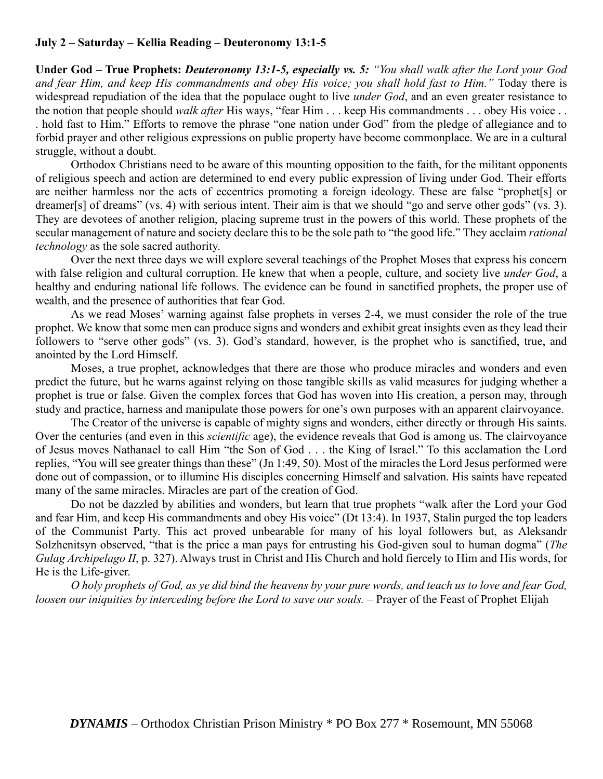## **July 2 – Saturday – Kellia Reading – Deuteronomy 13:1-5**

**Under God – True Prophets:** *Deuteronomy 13:1-5, especially vs. 5: "You shall walk after the Lord your God and fear Him, and keep His commandments and obey His voice; you shall hold fast to Him."* Today there is widespread repudiation of the idea that the populace ought to live *under God*, and an even greater resistance to the notion that people should *walk after* His ways, "fear Him . . . keep His commandments . . . obey His voice . . . hold fast to Him." Efforts to remove the phrase "one nation under God" from the pledge of allegiance and to forbid prayer and other religious expressions on public property have become commonplace. We are in a cultural struggle, without a doubt.

Orthodox Christians need to be aware of this mounting opposition to the faith, for the militant opponents of religious speech and action are determined to end every public expression of living under God. Their efforts are neither harmless nor the acts of eccentrics promoting a foreign ideology. These are false "prophet[s] or dreamer[s] of dreams" (vs. 4) with serious intent. Their aim is that we should "go and serve other gods" (vs. 3). They are devotees of another religion, placing supreme trust in the powers of this world. These prophets of the secular management of nature and society declare this to be the sole path to "the good life." They acclaim *rational technology* as the sole sacred authority.

Over the next three days we will explore several teachings of the Prophet Moses that express his concern with false religion and cultural corruption. He knew that when a people, culture, and society live *under God*, a healthy and enduring national life follows. The evidence can be found in sanctified prophets, the proper use of wealth, and the presence of authorities that fear God.

As we read Moses' warning against false prophets in verses 2-4, we must consider the role of the true prophet. We know that some men can produce signs and wonders and exhibit great insights even as they lead their followers to "serve other gods" (vs. 3). God's standard, however, is the prophet who is sanctified, true, and anointed by the Lord Himself.

Moses, a true prophet, acknowledges that there are those who produce miracles and wonders and even predict the future, but he warns against relying on those tangible skills as valid measures for judging whether a prophet is true or false. Given the complex forces that God has woven into His creation, a person may, through study and practice, harness and manipulate those powers for one's own purposes with an apparent clairvoyance.

The Creator of the universe is capable of mighty signs and wonders, either directly or through His saints. Over the centuries (and even in this *scientific* age), the evidence reveals that God is among us. The clairvoyance of Jesus moves Nathanael to call Him "the Son of God . . . the King of Israel." To this acclamation the Lord replies, "You will see greater things than these" (Jn 1:49, 50). Most of the miracles the Lord Jesus performed were done out of compassion, or to illumine His disciples concerning Himself and salvation. His saints have repeated many of the same miracles. Miracles are part of the creation of God.

Do not be dazzled by abilities and wonders, but learn that true prophets "walk after the Lord your God and fear Him, and keep His commandments and obey His voice" (Dt 13:4). In 1937, Stalin purged the top leaders of the Communist Party. This act proved unbearable for many of his loyal followers but, as Aleksandr Solzhenitsyn observed, "that is the price a man pays for entrusting his God-given soul to human dogma" (*The Gulag Archipelago II*, p. 327). Always trust in Christ and His Church and hold fiercely to Him and His words, for He is the Life-giver.

*O holy prophets of God, as ye did bind the heavens by your pure words, and teach us to love and fear God, loosen our iniquities by interceding before the Lord to save our souls. –* Prayer of the Feast of Prophet Elijah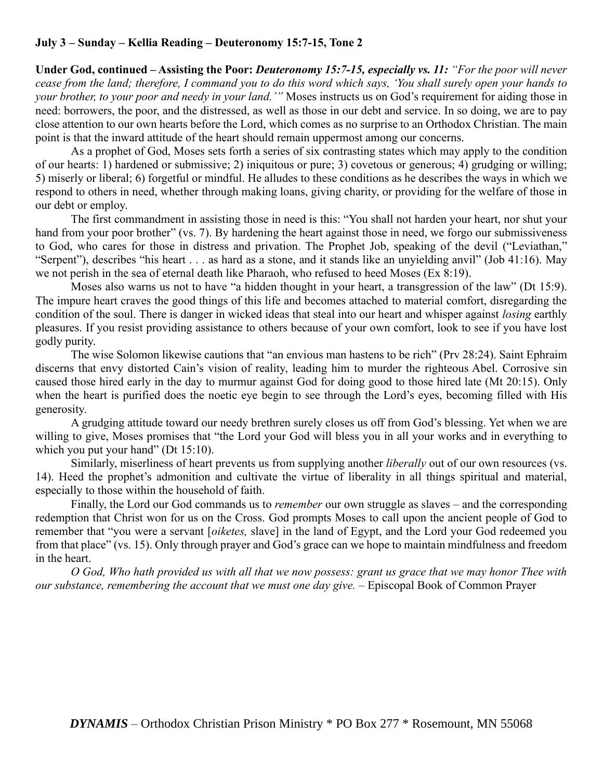# **July 3 – Sunday – Kellia Reading – Deuteronomy 15:7-15, Tone 2**

**Under God, continued – Assisting the Poor:** *Deuteronomy 15:7-15, especially vs. 11: "For the poor will never cease from the land; therefore, I command you to do this word which says, 'You shall surely open your hands to your brother, to your poor and needy in your land.'"* Moses instructs us on God's requirement for aiding those in need: borrowers, the poor, and the distressed, as well as those in our debt and service. In so doing, we are to pay close attention to our own hearts before the Lord, which comes as no surprise to an Orthodox Christian. The main point is that the inward attitude of the heart should remain uppermost among our concerns.

As a prophet of God, Moses sets forth a series of six contrasting states which may apply to the condition of our hearts: 1) hardened or submissive; 2) iniquitous or pure; 3) covetous or generous; 4) grudging or willing; 5) miserly or liberal; 6) forgetful or mindful. He alludes to these conditions as he describes the ways in which we respond to others in need, whether through making loans, giving charity, or providing for the welfare of those in our debt or employ.

The first commandment in assisting those in need is this: "You shall not harden your heart, nor shut your hand from your poor brother" (vs. 7). By hardening the heart against those in need, we forgo our submissiveness to God, who cares for those in distress and privation. The Prophet Job, speaking of the devil ("Leviathan," "Serpent"), describes "his heart . . . as hard as a stone, and it stands like an unyielding anvil" (Job 41:16). May we not perish in the sea of eternal death like Pharaoh, who refused to heed Moses (Ex 8:19).

Moses also warns us not to have "a hidden thought in your heart, a transgression of the law" (Dt 15:9). The impure heart craves the good things of this life and becomes attached to material comfort, disregarding the condition of the soul. There is danger in wicked ideas that steal into our heart and whisper against *losing* earthly pleasures. If you resist providing assistance to others because of your own comfort, look to see if you have lost godly purity.

The wise Solomon likewise cautions that "an envious man hastens to be rich" (Prv 28:24). Saint Ephraim discerns that envy distorted Cain's vision of reality, leading him to murder the righteous Abel. Corrosive sin caused those hired early in the day to murmur against God for doing good to those hired late (Mt 20:15). Only when the heart is purified does the noetic eye begin to see through the Lord's eyes, becoming filled with His generosity.

A grudging attitude toward our needy brethren surely closes us off from God's blessing. Yet when we are willing to give, Moses promises that "the Lord your God will bless you in all your works and in everything to which you put your hand" (Dt 15:10).

Similarly, miserliness of heart prevents us from supplying another *liberally* out of our own resources (vs. 14). Heed the prophet's admonition and cultivate the virtue of liberality in all things spiritual and material, especially to those within the household of faith.

Finally, the Lord our God commands us to *remember* our own struggle as slaves – and the corresponding redemption that Christ won for us on the Cross. God prompts Moses to call upon the ancient people of God to remember that "you were a servant [*oiketes,* slave] in the land of Egypt, and the Lord your God redeemed you from that place" (vs. 15). Only through prayer and God's grace can we hope to maintain mindfulness and freedom in the heart.

*O God, Who hath provided us with all that we now possess: grant us grace that we may honor Thee with our substance, remembering the account that we must one day give.* – Episcopal Book of Common Prayer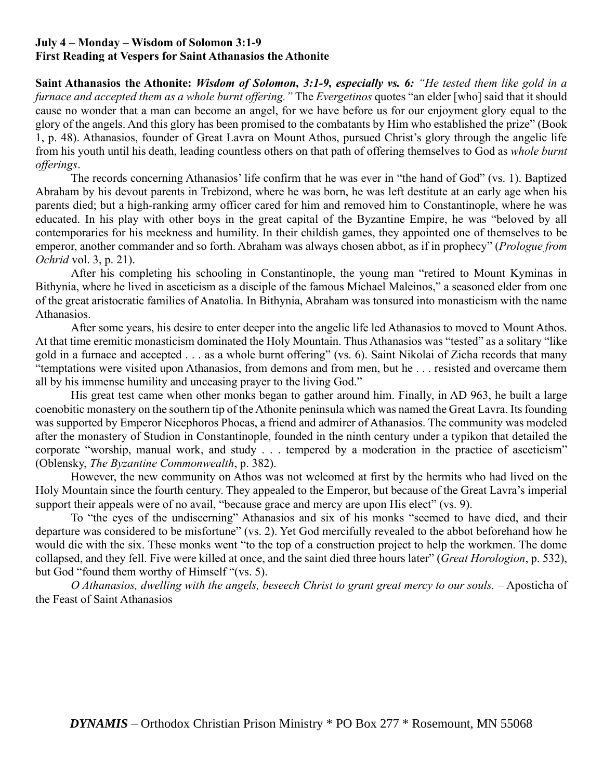## **July 4 – Monday – Wisdom of Solomon 3:1-9 First Reading at Vespers for Saint Athanasios the Athonite**

**Saint Athanasios the Athonite:** *Wisdom of Solomon, 3:1-9, especially vs. 6: "He tested them like gold in a furnace and accepted them as a whole burnt offering."* The *Evergetinos* quotes "an elder [who] said that it should cause no wonder that a man can become an angel, for we have before us for our enjoyment glory equal to the glory of the angels. And this glory has been promised to the combatants by Him who established the prize" (Book 1, p. 48). Athanasios, founder of Great Lavra on Mount Athos, pursued Christ's glory through the angelic life from his youth until his death, leading countless others on that path of offering themselves to God as *whole burnt offerings*.

The records concerning Athanasios' life confirm that he was ever in "the hand of God" (vs. 1). Baptized Abraham by his devout parents in Trebizond, where he was born, he was left destitute at an early age when his parents died; but a high-ranking army officer cared for him and removed him to Constantinople, where he was educated. In his play with other boys in the great capital of the Byzantine Empire, he was "beloved by all contemporaries for his meekness and humility. In their childish games, they appointed one of themselves to be emperor, another commander and so forth. Abraham was always chosen abbot, as if in prophecy" (*Prologue from Ochrid* vol. 3, p. 21).

After his completing his schooling in Constantinople, the young man "retired to Mount Kyminas in Bithynia, where he lived in asceticism as a disciple of the famous Michael Maleinos," a seasoned elder from one of the great aristocratic families of Anatolia. In Bithynia, Abraham was tonsured into monasticism with the name Athanasios.

After some years, his desire to enter deeper into the angelic life led Athanasios to moved to Mount Athos. At that time eremitic monasticism dominated the Holy Mountain. Thus Athanasios was "tested" as a solitary "like gold in a furnace and accepted . . . as a whole burnt offering" (vs. 6). Saint Nikolai of Zicha records that many "temptations were visited upon Athanasios, from demons and from men, but he . . . resisted and overcame them all by his immense humility and unceasing prayer to the living God."

His great test came when other monks began to gather around him. Finally, in AD 963, he built a large coenobitic monastery on the southern tip of the Athonite peninsula which was named the Great Lavra. Its founding was supported by Emperor Nicephoros Phocas, a friend and admirer of Athanasios. The community was modeled after the monastery of Studion in Constantinople, founded in the ninth century under a typikon that detailed the corporate "worship, manual work, and study . . . tempered by a moderation in the practice of asceticism" (Oblensky, *The Byzantine Commonwealth*, p. 382).

However, the new community on Athos was not welcomed at first by the hermits who had lived on the Holy Mountain since the fourth century. They appealed to the Emperor, but because of the Great Lavra's imperial support their appeals were of no avail, "because grace and mercy are upon His elect" (vs. 9).

To "the eyes of the undiscerning" Athanasios and six of his monks "seemed to have died, and their departure was considered to be misfortune" (vs. 2). Yet God mercifully revealed to the abbot beforehand how he would die with the six. These monks went "to the top of a construction project to help the workmen. The dome collapsed, and they fell. Five were killed at once, and the saint died three hours later" (*Great Horologion*, p. 532), but God "found them worthy of Himself "(vs. 5).

*O Athanasios, dwelling with the angels, beseech Christ to grant great mercy to our souls.* – Aposticha of the Feast of Saint Athanasios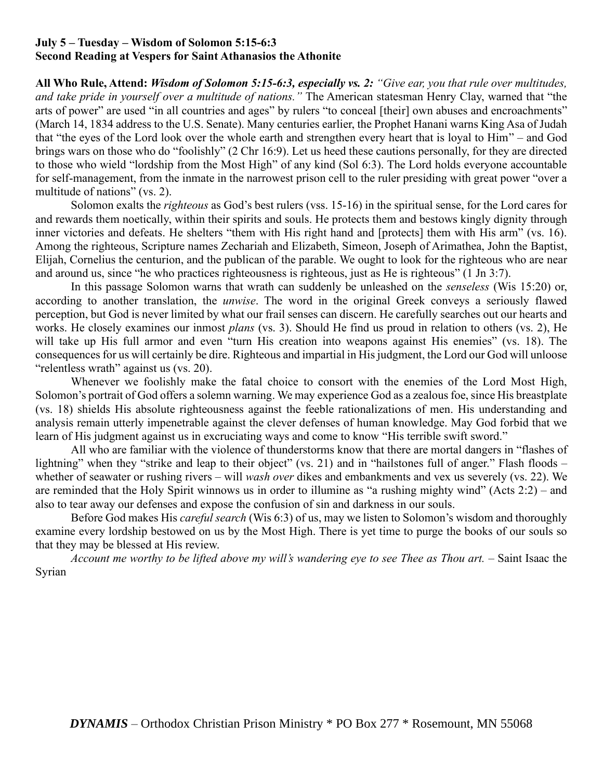### **July 5 – Tuesday – Wisdom of Solomon 5:15-6:3 Second Reading at Vespers for Saint Athanasios the Athonite**

**All Who Rule, Attend:** *Wisdom of Solomon 5:15-6:3, especially vs. 2: "Give ear, you that rule over multitudes, and take pride in yourself over a multitude of nations."* The American statesman Henry Clay, warned that "the arts of power" are used "in all countries and ages" by rulers "to conceal [their] own abuses and encroachments" (March 14, 1834 address to the U.S. Senate). Many centuries earlier, the Prophet Hanani warns King Asa of Judah that "the eyes of the Lord look over the whole earth and strengthen every heart that is loyal to Him" – and God brings wars on those who do "foolishly" (2 Chr 16:9). Let us heed these cautions personally, for they are directed to those who wield "lordship from the Most High" of any kind (Sol 6:3). The Lord holds everyone accountable for self-management, from the inmate in the narrowest prison cell to the ruler presiding with great power "over a multitude of nations" (vs. 2).

Solomon exalts the *righteous* as God's best rulers (vss. 15-16) in the spiritual sense, for the Lord cares for and rewards them noetically, within their spirits and souls. He protects them and bestows kingly dignity through inner victories and defeats. He shelters "them with His right hand and [protects] them with His arm" (vs. 16). Among the righteous, Scripture names Zechariah and Elizabeth, Simeon, Joseph of Arimathea, John the Baptist, Elijah, Cornelius the centurion, and the publican of the parable. We ought to look for the righteous who are near and around us, since "he who practices righteousness is righteous, just as He is righteous" (1 Jn 3:7).

In this passage Solomon warns that wrath can suddenly be unleashed on the *senseless* (Wis 15:20) or, according to another translation, the *unwise*. The word in the original Greek conveys a seriously flawed perception, but God is never limited by what our frail senses can discern. He carefully searches out our hearts and works. He closely examines our inmost *plans* (vs. 3). Should He find us proud in relation to others (vs. 2), He will take up His full armor and even "turn His creation into weapons against His enemies" (vs. 18). The consequences for us will certainly be dire. Righteous and impartial in His judgment, the Lord our God will unloose "relentless wrath" against us (vs. 20).

Whenever we foolishly make the fatal choice to consort with the enemies of the Lord Most High, Solomon's portrait of God offers a solemn warning. We may experience God as a zealous foe, since His breastplate (vs. 18) shields His absolute righteousness against the feeble rationalizations of men. His understanding and analysis remain utterly impenetrable against the clever defenses of human knowledge. May God forbid that we learn of His judgment against us in excruciating ways and come to know "His terrible swift sword."

All who are familiar with the violence of thunderstorms know that there are mortal dangers in "flashes of lightning" when they "strike and leap to their object" (vs. 21) and in "hailstones full of anger." Flash floods – whether of seawater or rushing rivers – will *wash over* dikes and embankments and vex us severely (vs. 22). We are reminded that the Holy Spirit winnows us in order to illumine as "a rushing mighty wind" (Acts 2:2) – and also to tear away our defenses and expose the confusion of sin and darkness in our souls.

Before God makes His *careful search* (Wis 6:3) of us, may we listen to Solomon's wisdom and thoroughly examine every lordship bestowed on us by the Most High. There is yet time to purge the books of our souls so that they may be blessed at His review.

*Account me worthy to be lifted above my will's wandering eye to see Thee as Thou art.* – Saint Isaac the Syrian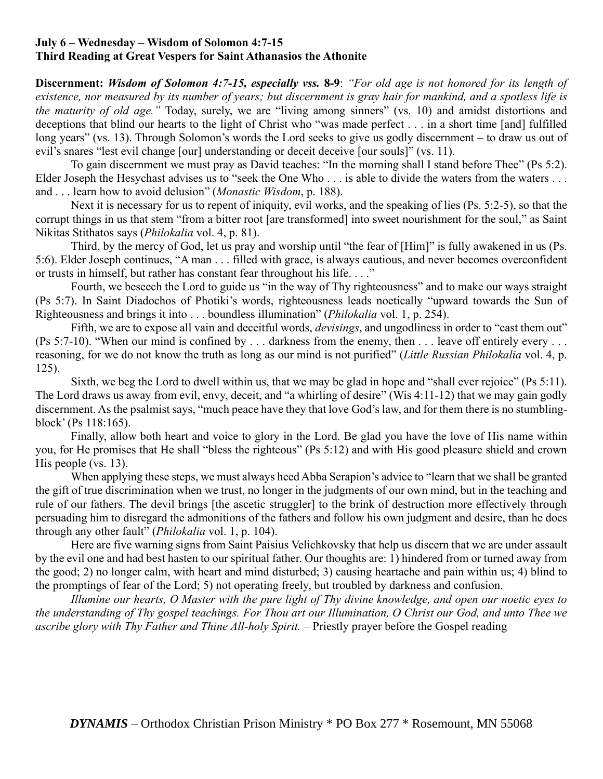### **July 6 – Wednesday – Wisdom of Solomon 4:7-15 Third Reading at Great Vespers for Saint Athanasios the Athonite**

**Discernment:** *Wisdom of Solomon 4:7-15, especially vss.* **8-9**: *"For old age is not honored for its length of existence, nor measured by its number of years; but discernment is gray hair for mankind, and a spotless life is the maturity of old age."* Today, surely, we are "living among sinners" (vs. 10) and amidst distortions and deceptions that blind our hearts to the light of Christ who "was made perfect . . . in a short time [and] fulfilled long years" (vs. 13). Through Solomon's words the Lord seeks to give us godly discernment – to draw us out of evil's snares "lest evil change [our] understanding or deceit deceive [our souls]" (vs. 11).

To gain discernment we must pray as David teaches: "In the morning shall I stand before Thee" (Ps 5:2). Elder Joseph the Hesychast advises us to "seek the One Who . . . is able to divide the waters from the waters . . . and . . . learn how to avoid delusion" (*Monastic Wisdom*, p. 188).

Next it is necessary for us to repent of iniquity, evil works, and the speaking of lies (Ps. 5:2-5), so that the corrupt things in us that stem "from a bitter root [are transformed] into sweet nourishment for the soul," as Saint Nikitas Stithatos says (*Philokalia* vol. 4, p. 81).

Third, by the mercy of God, let us pray and worship until "the fear of [Him]" is fully awakened in us (Ps. 5:6). Elder Joseph continues, "A man . . . filled with grace, is always cautious, and never becomes overconfident or trusts in himself, but rather has constant fear throughout his life. . . ."

Fourth, we beseech the Lord to guide us "in the way of Thy righteousness" and to make our ways straight (Ps 5:7). In Saint Diadochos of Photiki's words, righteousness leads noetically "upward towards the Sun of Righteousness and brings it into . . . boundless illumination" (*Philokalia* vol. 1, p. 254).

Fifth, we are to expose all vain and deceitful words, *devisings*, and ungodliness in order to "cast them out" (Ps 5:7-10). "When our mind is confined by . . . darkness from the enemy, then . . . leave off entirely every . . . reasoning, for we do not know the truth as long as our mind is not purified" (*Little Russian Philokalia* vol. 4, p. 125).

Sixth, we beg the Lord to dwell within us, that we may be glad in hope and "shall ever rejoice" (Ps 5:11). The Lord draws us away from evil, envy, deceit, and "a whirling of desire" (Wis 4:11-12) that we may gain godly discernment. As the psalmist says, "much peace have they that love God's law, and for them there is no stumblingblock' (Ps 118:165).

Finally, allow both heart and voice to glory in the Lord. Be glad you have the love of His name within you, for He promises that He shall "bless the righteous" (Ps 5:12) and with His good pleasure shield and crown His people (vs. 13).

When applying these steps, we must always heed Abba Serapion's advice to "learn that we shall be granted the gift of true discrimination when we trust, no longer in the judgments of our own mind, but in the teaching and rule of our fathers. The devil brings [the ascetic struggler] to the brink of destruction more effectively through persuading him to disregard the admonitions of the fathers and follow his own judgment and desire, than he does through any other fault" (*Philokalia* vol. 1, p. 104).

Here are five warning signs from Saint Paisius Velichkovsky that help us discern that we are under assault by the evil one and had best hasten to our spiritual father. Our thoughts are: 1) hindered from or turned away from the good; 2) no longer calm, with heart and mind disturbed; 3) causing heartache and pain within us; 4) blind to the promptings of fear of the Lord; 5) not operating freely, but troubled by darkness and confusion.

*Illumine our hearts, O Master with the pure light of Thy divine knowledge, and open our noetic eyes to the understanding of Thy gospel teachings. For Thou art our Illumination, O Christ our God, and unto Thee we ascribe glory with Thy Father and Thine All-holy Spirit.* – Priestly prayer before the Gospel reading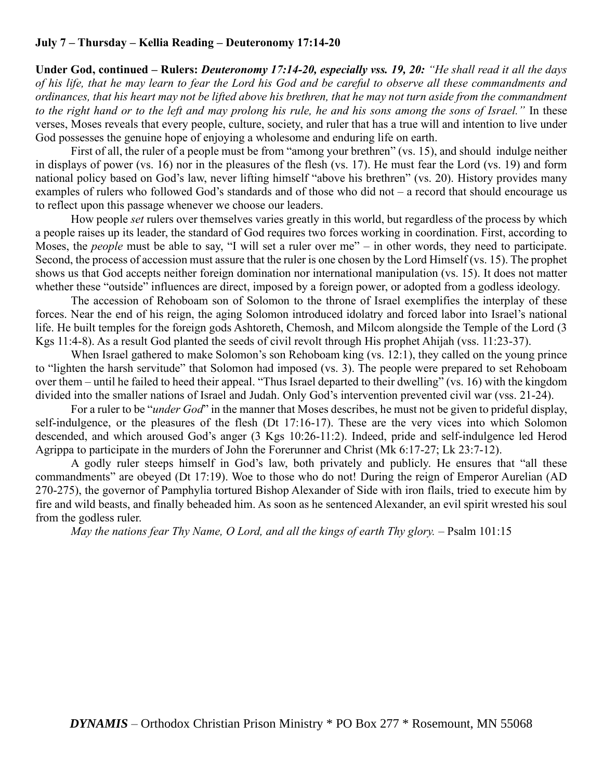## **July 7 – Thursday – Kellia Reading – Deuteronomy 17:14-20**

**Under God, continued – Rulers:** *Deuteronomy 17:14-20, especially vss. 19, 20: "He shall read it all the days of his life, that he may learn to fear the Lord his God and be careful to observe all these commandments and ordinances, that his heart may not be lifted above his brethren, that he may not turn aside from the commandment to the right hand or to the left and may prolong his rule, he and his sons among the sons of Israel."* In these verses, Moses reveals that every people, culture, society, and ruler that has a true will and intention to live under God possesses the genuine hope of enjoying a wholesome and enduring life on earth.

First of all, the ruler of a people must be from "among your brethren" (vs. 15), and should indulge neither in displays of power (vs. 16) nor in the pleasures of the flesh (vs. 17). He must fear the Lord (vs. 19) and form national policy based on God's law, never lifting himself "above his brethren" (vs. 20). History provides many examples of rulers who followed God's standards and of those who did not – a record that should encourage us to reflect upon this passage whenever we choose our leaders.

How people *set* rulers over themselves varies greatly in this world, but regardless of the process by which a people raises up its leader, the standard of God requires two forces working in coordination. First, according to Moses, the *people* must be able to say, "I will set a ruler over me" – in other words, they need to participate. Second, the process of accession must assure that the ruler is one chosen by the Lord Himself (vs. 15). The prophet shows us that God accepts neither foreign domination nor international manipulation (vs. 15). It does not matter whether these "outside" influences are direct, imposed by a foreign power, or adopted from a godless ideology.

The accession of Rehoboam son of Solomon to the throne of Israel exemplifies the interplay of these forces. Near the end of his reign, the aging Solomon introduced idolatry and forced labor into Israel's national life. He built temples for the foreign gods Ashtoreth, Chemosh, and Milcom alongside the Temple of the Lord (3 Kgs 11:4-8). As a result God planted the seeds of civil revolt through His prophet Ahijah (vss. 11:23-37).

When Israel gathered to make Solomon's son Rehoboam king (vs. 12:1), they called on the young prince to "lighten the harsh servitude" that Solomon had imposed (vs. 3). The people were prepared to set Rehoboam over them – until he failed to heed their appeal. "Thus Israel departed to their dwelling" (vs. 16) with the kingdom divided into the smaller nations of Israel and Judah. Only God's intervention prevented civil war (vss. 21-24).

For a ruler to be "*under God*" in the manner that Moses describes, he must not be given to prideful display, self-indulgence, or the pleasures of the flesh (Dt 17:16-17). These are the very vices into which Solomon descended, and which aroused God's anger (3 Kgs 10:26-11:2). Indeed, pride and self-indulgence led Herod Agrippa to participate in the murders of John the Forerunner and Christ (Mk 6:17-27; Lk 23:7-12).

A godly ruler steeps himself in God's law, both privately and publicly. He ensures that "all these commandments" are obeyed (Dt 17:19). Woe to those who do not! During the reign of Emperor Aurelian (AD 270-275), the governor of Pamphylia tortured Bishop Alexander of Side with iron flails, tried to execute him by fire and wild beasts, and finally beheaded him. As soon as he sentenced Alexander, an evil spirit wrested his soul from the godless ruler.

*May the nations fear Thy Name, O Lord, and all the kings of earth Thy glory.* – Psalm 101:15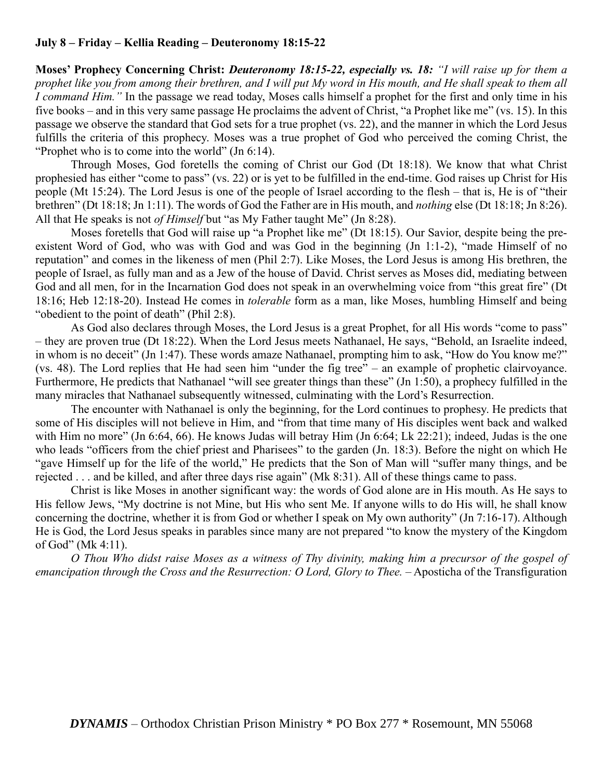## **July 8 – Friday – Kellia Reading – Deuteronomy 18:15-22**

**Moses' Prophecy Concerning Christ:** *Deuteronomy 18:15-22, especially vs. 18: "I will raise up for them a prophet like you from among their brethren, and I will put My word in His mouth, and He shall speak to them all I command Him."* In the passage we read today, Moses calls himself a prophet for the first and only time in his five books – and in this very same passage He proclaims the advent of Christ, "a Prophet like me" (vs. 15). In this passage we observe the standard that God sets for a true prophet (vs. 22), and the manner in which the Lord Jesus fulfills the criteria of this prophecy. Moses was a true prophet of God who perceived the coming Christ, the "Prophet who is to come into the world" (Jn 6:14).

Through Moses, God foretells the coming of Christ our God (Dt 18:18). We know that what Christ prophesied has either "come to pass" (vs. 22) or is yet to be fulfilled in the end-time. God raises up Christ for His people (Mt 15:24). The Lord Jesus is one of the people of Israel according to the flesh – that is, He is of "their brethren" (Dt 18:18; Jn 1:11). The words of God the Father are in His mouth, and *nothing* else (Dt 18:18; Jn 8:26). All that He speaks is not *of Himself* but "as My Father taught Me" (Jn 8:28).

Moses foretells that God will raise up "a Prophet like me" (Dt 18:15). Our Savior, despite being the preexistent Word of God, who was with God and was God in the beginning (Jn 1:1-2), "made Himself of no reputation" and comes in the likeness of men (Phil 2:7). Like Moses, the Lord Jesus is among His brethren, the people of Israel, as fully man and as a Jew of the house of David. Christ serves as Moses did, mediating between God and all men, for in the Incarnation God does not speak in an overwhelming voice from "this great fire" (Dt 18:16; Heb 12:18-20). Instead He comes in *tolerable* form as a man, like Moses, humbling Himself and being "obedient to the point of death" (Phil 2:8).

As God also declares through Moses, the Lord Jesus is a great Prophet, for all His words "come to pass" – they are proven true (Dt 18:22). When the Lord Jesus meets Nathanael, He says, "Behold, an Israelite indeed, in whom is no deceit" (Jn 1:47). These words amaze Nathanael, prompting him to ask, "How do You know me?" (vs. 48). The Lord replies that He had seen him "under the fig tree" – an example of prophetic clairvoyance. Furthermore, He predicts that Nathanael "will see greater things than these" (Jn 1:50), a prophecy fulfilled in the many miracles that Nathanael subsequently witnessed, culminating with the Lord's Resurrection.

The encounter with Nathanael is only the beginning, for the Lord continues to prophesy. He predicts that some of His disciples will not believe in Him, and "from that time many of His disciples went back and walked with Him no more" (Jn 6:64, 66). He knows Judas will betray Him (Jn 6:64; Lk 22:21); indeed, Judas is the one who leads "officers from the chief priest and Pharisees" to the garden (Jn. 18:3). Before the night on which He "gave Himself up for the life of the world," He predicts that the Son of Man will "suffer many things, and be rejected . . . and be killed, and after three days rise again" (Mk 8:31). All of these things came to pass.

Christ is like Moses in another significant way: the words of God alone are in His mouth. As He says to His fellow Jews, "My doctrine is not Mine, but His who sent Me. If anyone wills to do His will, he shall know concerning the doctrine, whether it is from God or whether I speak on My own authority" (Jn 7:16-17). Although He is God, the Lord Jesus speaks in parables since many are not prepared "to know the mystery of the Kingdom of God" (Mk 4:11).

*O Thou Who didst raise Moses as a witness of Thy divinity, making him a precursor of the gospel of emancipation through the Cross and the Resurrection: O Lord, Glory to Thee.* – Aposticha of the Transfiguration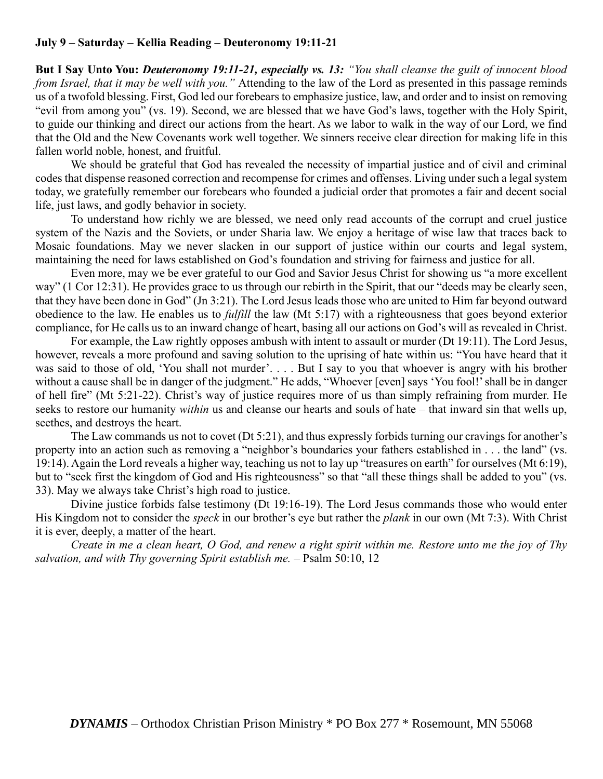## **July 9 – Saturday – Kellia Reading – Deuteronomy 19:11-21**

**But I Say Unto You:** *Deuteronomy 19:11-21, especially vs. 13: "You shall cleanse the guilt of innocent blood from Israel, that it may be well with you."* Attending to the law of the Lord as presented in this passage reminds us of a twofold blessing. First, God led our forebears to emphasize justice, law, and order and to insist on removing "evil from among you" (vs. 19). Second, we are blessed that we have God's laws, together with the Holy Spirit, to guide our thinking and direct our actions from the heart. As we labor to walk in the way of our Lord, we find that the Old and the New Covenants work well together. We sinners receive clear direction for making life in this fallen world noble, honest, and fruitful.

We should be grateful that God has revealed the necessity of impartial justice and of civil and criminal codes that dispense reasoned correction and recompense for crimes and offenses. Living under such a legal system today, we gratefully remember our forebears who founded a judicial order that promotes a fair and decent social life, just laws, and godly behavior in society.

To understand how richly we are blessed, we need only read accounts of the corrupt and cruel justice system of the Nazis and the Soviets, or under Sharia law. We enjoy a heritage of wise law that traces back to Mosaic foundations. May we never slacken in our support of justice within our courts and legal system, maintaining the need for laws established on God's foundation and striving for fairness and justice for all.

Even more, may we be ever grateful to our God and Savior Jesus Christ for showing us "a more excellent way" (1 Cor 12:31). He provides grace to us through our rebirth in the Spirit, that our "deeds may be clearly seen, that they have been done in God" (Jn 3:21). The Lord Jesus leads those who are united to Him far beyond outward obedience to the law. He enables us to *fulfill* the law (Mt 5:17) with a righteousness that goes beyond exterior compliance, for He calls us to an inward change of heart, basing all our actions on God's will as revealed in Christ.

For example, the Law rightly opposes ambush with intent to assault or murder (Dt 19:11). The Lord Jesus, however, reveals a more profound and saving solution to the uprising of hate within us: "You have heard that it was said to those of old, 'You shall not murder'.... But I say to you that whoever is angry with his brother without a cause shall be in danger of the judgment." He adds, "Whoever [even] says 'You fool!' shall be in danger of hell fire" (Mt 5:21-22). Christ's way of justice requires more of us than simply refraining from murder. He seeks to restore our humanity *within* us and cleanse our hearts and souls of hate – that inward sin that wells up, seethes, and destroys the heart.

The Law commands us not to covet (Dt 5:21), and thus expressly forbids turning our cravings for another's property into an action such as removing a "neighbor's boundaries your fathers established in . . . the land" (vs. 19:14). Again the Lord reveals a higher way, teaching us not to lay up "treasures on earth" for ourselves (Mt 6:19), but to "seek first the kingdom of God and His righteousness" so that "all these things shall be added to you" (vs. 33). May we always take Christ's high road to justice.

Divine justice forbids false testimony (Dt 19:16-19). The Lord Jesus commands those who would enter His Kingdom not to consider the *speck* in our brother's eye but rather the *plank* in our own (Mt 7:3). With Christ it is ever, deeply, a matter of the heart.

*Create in me a clean heart, O God, and renew a right spirit within me. Restore unto me the joy of Thy salvation, and with Thy governing Spirit establish me.* – Psalm 50:10, 12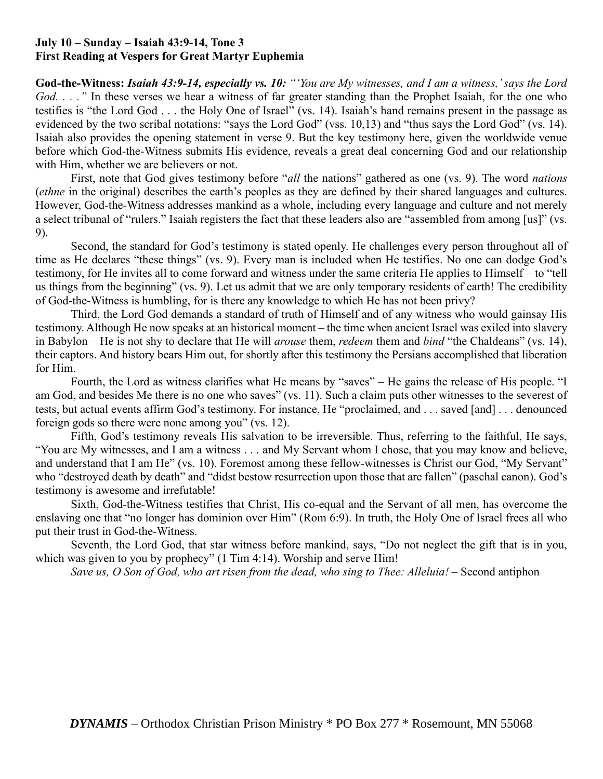### **July 10 – Sunday – Isaiah 43:9-14, Tone 3 First Reading at Vespers for Great Martyr Euphemia**

**God-the-Witness:** *Isaiah 43:9-14, especially vs. 10: "'You are My witnesses, and I am a witness,' says the Lord God. . . ."* In these verses we hear a witness of far greater standing than the Prophet Isaiah, for the one who testifies is "the Lord God . . . the Holy One of Israel" (vs. 14). Isaiah's hand remains present in the passage as evidenced by the two scribal notations: "says the Lord God" (vss. 10,13) and "thus says the Lord God" (vs. 14). Isaiah also provides the opening statement in verse 9. But the key testimony here, given the worldwide venue before which God-the-Witness submits His evidence, reveals a great deal concerning God and our relationship with Him, whether we are believers or not.

First, note that God gives testimony before "*all* the nations" gathered as one (vs. 9). The word *nations* (*ethne* in the original) describes the earth's peoples as they are defined by their shared languages and cultures. However, God-the-Witness addresses mankind as a whole, including every language and culture and not merely a select tribunal of "rulers." Isaiah registers the fact that these leaders also are "assembled from among [us]" (vs. 9).

Second, the standard for God's testimony is stated openly. He challenges every person throughout all of time as He declares "these things" (vs. 9). Every man is included when He testifies. No one can dodge God's testimony, for He invites all to come forward and witness under the same criteria He applies to Himself – to "tell us things from the beginning" (vs. 9). Let us admit that we are only temporary residents of earth! The credibility of God-the-Witness is humbling, for is there any knowledge to which He has not been privy?

Third, the Lord God demands a standard of truth of Himself and of any witness who would gainsay His testimony. Although He now speaks at an historical moment – the time when ancient Israel was exiled into slavery in Babylon – He is not shy to declare that He will *arouse* them, *redeem* them and *bind* "the Chaldeans" (vs. 14), their captors. And history bears Him out, for shortly after this testimony the Persians accomplished that liberation for Him.

Fourth, the Lord as witness clarifies what He means by "saves" – He gains the release of His people. "I am God, and besides Me there is no one who saves" (vs. 11). Such a claim puts other witnesses to the severest of tests, but actual events affirm God's testimony. For instance, He "proclaimed, and . . . saved [and] . . . denounced foreign gods so there were none among you" (vs. 12).

Fifth, God's testimony reveals His salvation to be irreversible. Thus, referring to the faithful, He says, "You are My witnesses, and I am a witness . . . and My Servant whom I chose, that you may know and believe, and understand that I am He" (vs. 10). Foremost among these fellow-witnesses is Christ our God, "My Servant" who "destroyed death by death" and "didst bestow resurrection upon those that are fallen" (paschal canon). God's testimony is awesome and irrefutable!

Sixth, God-the-Witness testifies that Christ, His co-equal and the Servant of all men, has overcome the enslaving one that "no longer has dominion over Him" (Rom 6:9). In truth, the Holy One of Israel frees all who put their trust in God-the-Witness.

Seventh, the Lord God, that star witness before mankind, says, "Do not neglect the gift that is in you, which was given to you by prophecy" (1 Tim 4:14). Worship and serve Him!

*Save us, O Son of God, who art risen from the dead, who sing to Thee: Alleluia!* – Second antiphon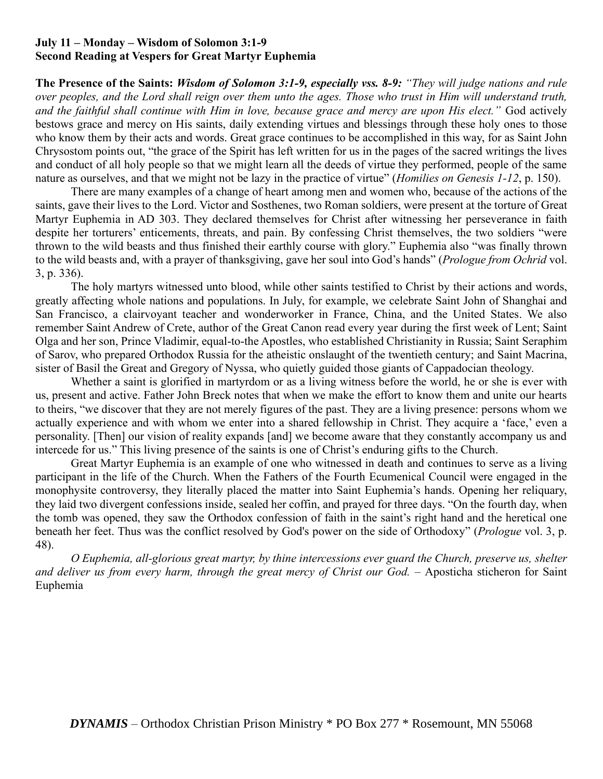## **July 11 – Monday – Wisdom of Solomon 3:1-9 Second Reading at Vespers for Great Martyr Euphemia**

**The Presence of the Saints:** *Wisdom of Solomon 3:1-9, especially vss. 8-9: "They will judge nations and rule over peoples, and the Lord shall reign over them unto the ages. Those who trust in Him will understand truth, and the faithful shall continue with Him in love, because grace and mercy are upon His elect."* God actively bestows grace and mercy on His saints, daily extending virtues and blessings through these holy ones to those who know them by their acts and words. Great grace continues to be accomplished in this way, for as Saint John Chrysostom points out, "the grace of the Spirit has left written for us in the pages of the sacred writings the lives and conduct of all holy people so that we might learn all the deeds of virtue they performed, people of the same nature as ourselves, and that we might not be lazy in the practice of virtue" (*Homilies on Genesis 1-12*, p. 150).

There are many examples of a change of heart among men and women who, because of the actions of the saints, gave their lives to the Lord. Victor and Sosthenes, two Roman soldiers, were present at the torture of Great Martyr Euphemia in AD 303. They declared themselves for Christ after witnessing her perseverance in faith despite her torturers' enticements, threats, and pain. By confessing Christ themselves, the two soldiers "were thrown to the wild beasts and thus finished their earthly course with glory." Euphemia also "was finally thrown to the wild beasts and, with a prayer of thanksgiving, gave her soul into God's hands" (*Prologue from Ochrid* vol. 3, p. 336).

The holy martyrs witnessed unto blood, while other saints testified to Christ by their actions and words, greatly affecting whole nations and populations. In July, for example, we celebrate Saint John of Shanghai and San Francisco, a clairvoyant teacher and wonderworker in France, China, and the United States. We also remember Saint Andrew of Crete, author of the Great Canon read every year during the first week of Lent; Saint Olga and her son, Prince Vladimir, equal-to-the Apostles, who established Christianity in Russia; Saint Seraphim of Sarov, who prepared Orthodox Russia for the atheistic onslaught of the twentieth century; and Saint Macrina, sister of Basil the Great and Gregory of Nyssa, who quietly guided those giants of Cappadocian theology.

Whether a saint is glorified in martyrdom or as a living witness before the world, he or she is ever with us, present and active. Father John Breck notes that when we make the effort to know them and unite our hearts to theirs, "we discover that they are not merely figures of the past. They are a living presence: persons whom we actually experience and with whom we enter into a shared fellowship in Christ. They acquire a 'face,' even a personality. [Then] our vision of reality expands [and] we become aware that they constantly accompany us and intercede for us." This living presence of the saints is one of Christ's enduring gifts to the Church.

Great Martyr Euphemia is an example of one who witnessed in death and continues to serve as a living participant in the life of the Church. When the Fathers of the Fourth Ecumenical Council were engaged in the monophysite controversy, they literally placed the matter into Saint Euphemia's hands. Opening her reliquary, they laid two divergent confessions inside, sealed her coffin, and prayed for three days. "On the fourth day, when the tomb was opened, they saw the Orthodox confession of faith in the saint's right hand and the heretical one beneath her feet. Thus was the conflict resolved by God's power on the side of Orthodoxy" (*Prologue* vol. 3, p. 48).

*O Euphemia, all-glorious great martyr, by thine intercessions ever guard the Church, preserve us, shelter and deliver us from every harm, through the great mercy of Christ our God. –* Aposticha sticheron for Saint Euphemia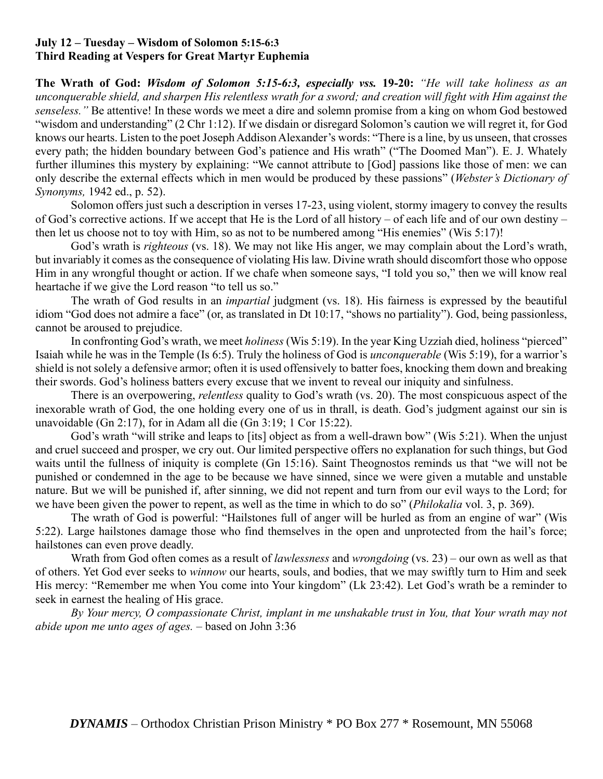## **July 12 – Tuesday – Wisdom of Solomon 5:15-6:3 Third Reading at Vespers for Great Martyr Euphemia**

**The Wrath of God:** *Wisdom of Solomon 5:15-6:3, especially vss.* **19-20:** *"He will take holiness as an unconquerable shield, and sharpen His relentless wrath for a sword; and creation will fight with Him against the senseless."* Be attentive! In these words we meet a dire and solemn promise from a king on whom God bestowed "wisdom and understanding" (2 Chr 1:12). If we disdain or disregard Solomon's caution we will regret it, for God knows our hearts. Listen to the poet Joseph Addison Alexander's words: "There is a line, by us unseen, that crosses every path; the hidden boundary between God's patience and His wrath" ("The Doomed Man"). E. J. Whately further illumines this mystery by explaining: "We cannot attribute to [God] passions like those of men: we can only describe the external effects which in men would be produced by these passions" (*Webster's Dictionary of Synonyms,* 1942 ed., p. 52).

Solomon offers just such a description in verses 17-23, using violent, stormy imagery to convey the results of God's corrective actions. If we accept that He is the Lord of all history – of each life and of our own destiny – then let us choose not to toy with Him, so as not to be numbered among "His enemies" (Wis 5:17)!

God's wrath is *righteous* (vs. 18). We may not like His anger, we may complain about the Lord's wrath, but invariably it comes as the consequence of violating His law. Divine wrath should discomfort those who oppose Him in any wrongful thought or action. If we chafe when someone says, "I told you so," then we will know real heartache if we give the Lord reason "to tell us so."

The wrath of God results in an *impartial* judgment (vs. 18). His fairness is expressed by the beautiful idiom "God does not admire a face" (or, as translated in Dt 10:17, "shows no partiality"). God, being passionless, cannot be aroused to prejudice.

In confronting God's wrath, we meet *holiness* (Wis 5:19). In the year King Uzziah died, holiness "pierced" Isaiah while he was in the Temple (Is 6:5). Truly the holiness of God is *unconquerable* (Wis 5:19), for a warrior's shield is not solely a defensive armor; often it is used offensively to batter foes, knocking them down and breaking their swords. God's holiness batters every excuse that we invent to reveal our iniquity and sinfulness.

There is an overpowering, *relentless* quality to God's wrath (vs. 20). The most conspicuous aspect of the inexorable wrath of God, the one holding every one of us in thrall, is death. God's judgment against our sin is unavoidable (Gn 2:17), for in Adam all die (Gn 3:19; 1 Cor 15:22).

God's wrath "will strike and leaps to [its] object as from a well-drawn bow" (Wis 5:21). When the unjust and cruel succeed and prosper, we cry out. Our limited perspective offers no explanation for such things, but God waits until the fullness of iniquity is complete (Gn 15:16). Saint Theognostos reminds us that "we will not be punished or condemned in the age to be because we have sinned, since we were given a mutable and unstable nature. But we will be punished if, after sinning, we did not repent and turn from our evil ways to the Lord; for we have been given the power to repent, as well as the time in which to do so" (*Philokalia* vol. 3, p. 369).

The wrath of God is powerful: "Hailstones full of anger will be hurled as from an engine of war" (Wis 5:22). Large hailstones damage those who find themselves in the open and unprotected from the hail's force; hailstones can even prove deadly.

Wrath from God often comes as a result of *lawlessness* and *wrongdoing* (vs. 23) – our own as well as that of others. Yet God ever seeks to *winnow* our hearts, souls, and bodies, that we may swiftly turn to Him and seek His mercy: "Remember me when You come into Your kingdom" (Lk 23:42). Let God's wrath be a reminder to seek in earnest the healing of His grace.

*By Your mercy, O compassionate Christ, implant in me unshakable trust in You, that Your wrath may not abide upon me unto ages of ages.* – based on John 3:36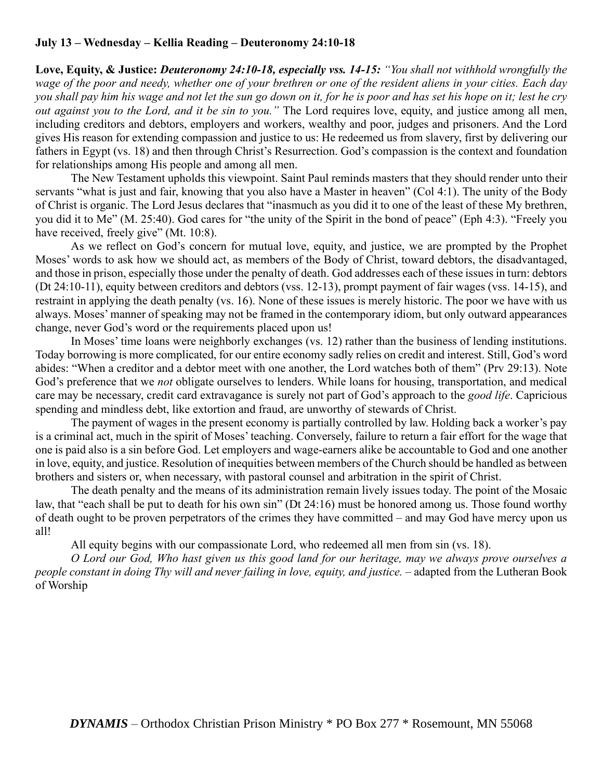# **July 13 – Wednesday – Kellia Reading – Deuteronomy 24:10-18**

**Love, Equity, & Justice:** *Deuteronomy 24:10-18, especially vss. 14-15: "You shall not withhold wrongfully the wage of the poor and needy, whether one of your brethren or one of the resident aliens in your cities. Each day you shall pay him his wage and not let the sun go down on it, for he is poor and has set his hope on it; lest he cry out against you to the Lord, and it be sin to you."* The Lord requires love, equity, and justice among all men, including creditors and debtors, employers and workers, wealthy and poor, judges and prisoners. And the Lord gives His reason for extending compassion and justice to us: He redeemed us from slavery, first by delivering our fathers in Egypt (vs. 18) and then through Christ's Resurrection. God's compassion is the context and foundation for relationships among His people and among all men.

The New Testament upholds this viewpoint. Saint Paul reminds masters that they should render unto their servants "what is just and fair, knowing that you also have a Master in heaven" (Col 4:1). The unity of the Body of Christ is organic. The Lord Jesus declares that "inasmuch as you did it to one of the least of these My brethren, you did it to Me" (M. 25:40). God cares for "the unity of the Spirit in the bond of peace" (Eph 4:3). "Freely you have received, freely give" (Mt. 10:8).

As we reflect on God's concern for mutual love, equity, and justice, we are prompted by the Prophet Moses' words to ask how we should act, as members of the Body of Christ, toward debtors, the disadvantaged, and those in prison, especially those under the penalty of death. God addresses each of these issues in turn: debtors (Dt 24:10-11), equity between creditors and debtors (vss. 12-13), prompt payment of fair wages (vss. 14-15), and restraint in applying the death penalty (vs. 16). None of these issues is merely historic. The poor we have with us always. Moses' manner of speaking may not be framed in the contemporary idiom, but only outward appearances change, never God's word or the requirements placed upon us!

In Moses' time loans were neighborly exchanges (vs. 12) rather than the business of lending institutions. Today borrowing is more complicated, for our entire economy sadly relies on credit and interest. Still, God's word abides: "When a creditor and a debtor meet with one another, the Lord watches both of them" (Prv 29:13). Note God's preference that we *not* obligate ourselves to lenders. While loans for housing, transportation, and medical care may be necessary, credit card extravagance is surely not part of God's approach to the *good life*. Capricious spending and mindless debt, like extortion and fraud, are unworthy of stewards of Christ.

The payment of wages in the present economy is partially controlled by law. Holding back a worker's pay is a criminal act, much in the spirit of Moses' teaching. Conversely, failure to return a fair effort for the wage that one is paid also is a sin before God. Let employers and wage-earners alike be accountable to God and one another in love, equity, and justice. Resolution of inequities between members of the Church should be handled as between brothers and sisters or, when necessary, with pastoral counsel and arbitration in the spirit of Christ.

The death penalty and the means of its administration remain lively issues today. The point of the Mosaic law, that "each shall be put to death for his own sin" (Dt 24:16) must be honored among us. Those found worthy of death ought to be proven perpetrators of the crimes they have committed – and may God have mercy upon us all!

All equity begins with our compassionate Lord, who redeemed all men from sin (vs. 18).

*O Lord our God, Who hast given us this good land for our heritage, may we always prove ourselves a people constant in doing Thy will and never failing in love, equity, and justice.* – adapted from the Lutheran Book of Worship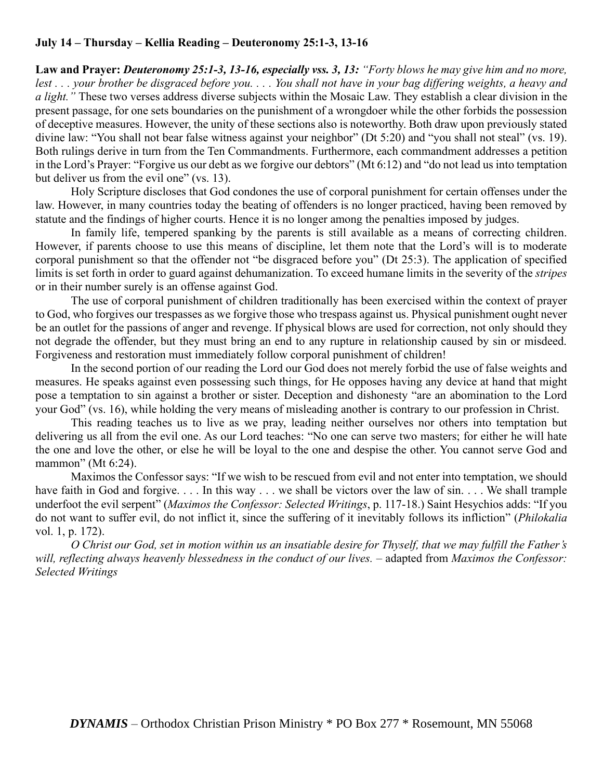# **July 14 – Thursday – Kellia Reading – Deuteronomy 25:1-3, 13-16**

**Law and Prayer:** *Deuteronomy 25:1-3, 13-16, especially vss. 3, 13: "Forty blows he may give him and no more, lest . . . your brother be disgraced before you. . . . You shall not have in your bag differing weights, a heavy and a light."* These two verses address diverse subjects within the Mosaic Law. They establish a clear division in the present passage, for one sets boundaries on the punishment of a wrongdoer while the other forbids the possession of deceptive measures. However, the unity of these sections also is noteworthy. Both draw upon previously stated divine law: "You shall not bear false witness against your neighbor" (Dt 5:20) and "you shall not steal" (vs. 19). Both rulings derive in turn from the Ten Commandments. Furthermore, each commandment addresses a petition in the Lord's Prayer: "Forgive us our debt as we forgive our debtors" (Mt 6:12) and "do not lead us into temptation but deliver us from the evil one" (vs. 13).

Holy Scripture discloses that God condones the use of corporal punishment for certain offenses under the law. However, in many countries today the beating of offenders is no longer practiced, having been removed by statute and the findings of higher courts. Hence it is no longer among the penalties imposed by judges.

In family life, tempered spanking by the parents is still available as a means of correcting children. However, if parents choose to use this means of discipline, let them note that the Lord's will is to moderate corporal punishment so that the offender not "be disgraced before you" (Dt 25:3). The application of specified limits is set forth in order to guard against dehumanization. To exceed humane limits in the severity of the *stripes* or in their number surely is an offense against God.

The use of corporal punishment of children traditionally has been exercised within the context of prayer to God, who forgives our trespasses as we forgive those who trespass against us. Physical punishment ought never be an outlet for the passions of anger and revenge. If physical blows are used for correction, not only should they not degrade the offender, but they must bring an end to any rupture in relationship caused by sin or misdeed. Forgiveness and restoration must immediately follow corporal punishment of children!

In the second portion of our reading the Lord our God does not merely forbid the use of false weights and measures. He speaks against even possessing such things, for He opposes having any device at hand that might pose a temptation to sin against a brother or sister. Deception and dishonesty "are an abomination to the Lord your God" (vs. 16), while holding the very means of misleading another is contrary to our profession in Christ.

This reading teaches us to live as we pray, leading neither ourselves nor others into temptation but delivering us all from the evil one. As our Lord teaches: "No one can serve two masters; for either he will hate the one and love the other, or else he will be loyal to the one and despise the other. You cannot serve God and mammon" (Mt 6:24).

Maximos the Confessor says: "If we wish to be rescued from evil and not enter into temptation, we should have faith in God and forgive. . . . In this way . . . we shall be victors over the law of sin. . . . We shall trample underfoot the evil serpent" (*Maximos the Confessor: Selected Writings*, p. 117-18.) Saint Hesychios adds: "If you do not want to suffer evil, do not inflict it, since the suffering of it inevitably follows its infliction" (*Philokalia* vol. 1, p. 172).

*O Christ our God, set in motion within us an insatiable desire for Thyself, that we may fulfill the Father's will, reflecting always heavenly blessedness in the conduct of our lives.* – adapted from *Maximos the Confessor: Selected Writings*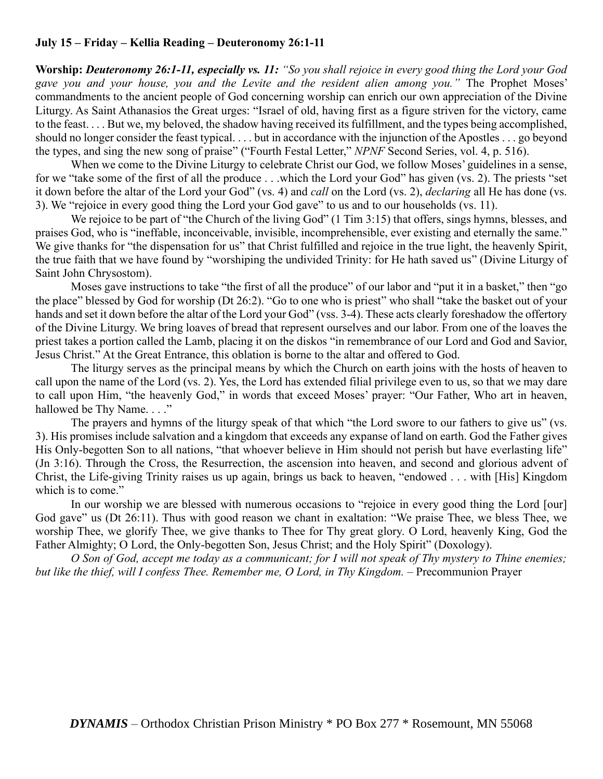# **July 15 – Friday – Kellia Reading – Deuteronomy 26:1-11**

**Worship:** *Deuteronomy 26:1-11, especially vs. 11: "So you shall rejoice in every good thing the Lord your God gave you and your house, you and the Levite and the resident alien among you."* The Prophet Moses' commandments to the ancient people of God concerning worship can enrich our own appreciation of the Divine Liturgy. As Saint Athanasios the Great urges: "Israel of old, having first as a figure striven for the victory, came to the feast. . . . But we, my beloved, the shadow having received its fulfillment, and the types being accomplished, should no longer consider the feast typical. . . . but in accordance with the injunction of the Apostles . . . go beyond the types, and sing the new song of praise" ("Fourth Festal Letter," *NPNF* Second Series, vol. 4, p. 516).

When we come to the Divine Liturgy to celebrate Christ our God, we follow Moses' guidelines in a sense, for we "take some of the first of all the produce . . .which the Lord your God" has given (vs. 2). The priests "set it down before the altar of the Lord your God" (vs. 4) and *call* on the Lord (vs. 2), *declaring* all He has done (vs. 3). We "rejoice in every good thing the Lord your God gave" to us and to our households (vs. 11).

We rejoice to be part of "the Church of the living God" (1 Tim 3:15) that offers, sings hymns, blesses, and praises God, who is "ineffable, inconceivable, invisible, incomprehensible, ever existing and eternally the same." We give thanks for "the dispensation for us" that Christ fulfilled and rejoice in the true light, the heavenly Spirit, the true faith that we have found by "worshiping the undivided Trinity: for He hath saved us" (Divine Liturgy of Saint John Chrysostom).

Moses gave instructions to take "the first of all the produce" of our labor and "put it in a basket," then "go the place" blessed by God for worship (Dt 26:2). "Go to one who is priest" who shall "take the basket out of your hands and set it down before the altar of the Lord your God" (vss. 3-4). These acts clearly foreshadow the offertory of the Divine Liturgy. We bring loaves of bread that represent ourselves and our labor. From one of the loaves the priest takes a portion called the Lamb, placing it on the diskos "in remembrance of our Lord and God and Savior, Jesus Christ." At the Great Entrance, this oblation is borne to the altar and offered to God.

The liturgy serves as the principal means by which the Church on earth joins with the hosts of heaven to call upon the name of the Lord (vs. 2). Yes, the Lord has extended filial privilege even to us, so that we may dare to call upon Him, "the heavenly God," in words that exceed Moses' prayer: "Our Father, Who art in heaven, hallowed be Thy Name...."

The prayers and hymns of the liturgy speak of that which "the Lord swore to our fathers to give us" (vs. 3). His promises include salvation and a kingdom that exceeds any expanse of land on earth. God the Father gives His Only-begotten Son to all nations, "that whoever believe in Him should not perish but have everlasting life" (Jn 3:16). Through the Cross, the Resurrection, the ascension into heaven, and second and glorious advent of Christ, the Life-giving Trinity raises us up again, brings us back to heaven, "endowed . . . with [His] Kingdom which is to come."

In our worship we are blessed with numerous occasions to "rejoice in every good thing the Lord [our] God gave" us (Dt 26:11). Thus with good reason we chant in exaltation: "We praise Thee, we bless Thee, we worship Thee, we glorify Thee, we give thanks to Thee for Thy great glory. O Lord, heavenly King, God the Father Almighty; O Lord, the Only-begotten Son, Jesus Christ; and the Holy Spirit" (Doxology).

*O Son of God, accept me today as a communicant; for I will not speak of Thy mystery to Thine enemies; but like the thief, will I confess Thee. Remember me, O Lord, in Thy Kingdom.* – Precommunion Prayer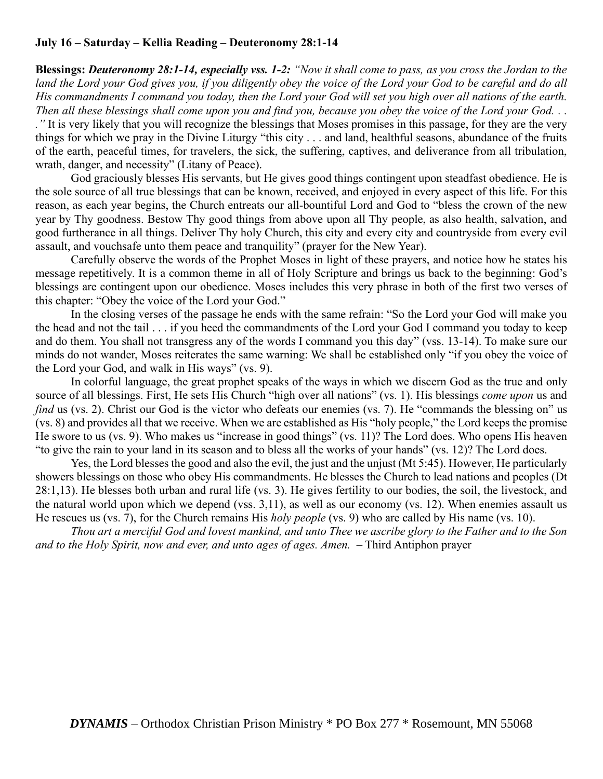### **July 16 – Saturday – Kellia Reading – Deuteronomy 28:1-14**

**Blessings:** *Deuteronomy 28:1-14, especially vss. 1-2: "Now it shall come to pass, as you cross the Jordan to the*  land the Lord your God gives you, if you diligently obey the voice of the Lord your God to be careful and do all *His commandments I command you today, then the Lord your God will set you high over all nations of the earth. Then all these blessings shall come upon you and find you, because you obey the voice of the Lord your God. . .* 

*."* It is very likely that you will recognize the blessings that Moses promises in this passage, for they are the very things for which we pray in the Divine Liturgy "this city . . . and land, healthful seasons, abundance of the fruits of the earth, peaceful times, for travelers, the sick, the suffering, captives, and deliverance from all tribulation, wrath, danger, and necessity" (Litany of Peace).

God graciously blesses His servants, but He gives good things contingent upon steadfast obedience. He is the sole source of all true blessings that can be known, received, and enjoyed in every aspect of this life. For this reason, as each year begins, the Church entreats our all-bountiful Lord and God to "bless the crown of the new year by Thy goodness. Bestow Thy good things from above upon all Thy people, as also health, salvation, and good furtherance in all things. Deliver Thy holy Church, this city and every city and countryside from every evil assault, and vouchsafe unto them peace and tranquility" (prayer for the New Year).

Carefully observe the words of the Prophet Moses in light of these prayers, and notice how he states his message repetitively. It is a common theme in all of Holy Scripture and brings us back to the beginning: God's blessings are contingent upon our obedience. Moses includes this very phrase in both of the first two verses of this chapter: "Obey the voice of the Lord your God."

In the closing verses of the passage he ends with the same refrain: "So the Lord your God will make you the head and not the tail . . . if you heed the commandments of the Lord your God I command you today to keep and do them. You shall not transgress any of the words I command you this day" (vss. 13-14). To make sure our minds do not wander, Moses reiterates the same warning: We shall be established only "if you obey the voice of the Lord your God, and walk in His ways" (vs. 9).

In colorful language, the great prophet speaks of the ways in which we discern God as the true and only source of all blessings. First, He sets His Church "high over all nations" (vs. 1). His blessings *come upon* us and *find* us (vs. 2). Christ our God is the victor who defeats our enemies (vs. 7). He "commands the blessing on" us (vs. 8) and provides all that we receive. When we are established as His "holy people," the Lord keeps the promise He swore to us (vs. 9). Who makes us "increase in good things" (vs. 11)? The Lord does. Who opens His heaven "to give the rain to your land in its season and to bless all the works of your hands" (vs. 12)? The Lord does.

Yes, the Lord blesses the good and also the evil, the just and the unjust (Mt 5:45). However, He particularly showers blessings on those who obey His commandments. He blesses the Church to lead nations and peoples (Dt 28:1,13). He blesses both urban and rural life (vs. 3). He gives fertility to our bodies, the soil, the livestock, and the natural world upon which we depend (vss. 3,11), as well as our economy (vs. 12). When enemies assault us He rescues us (vs. 7), for the Church remains His *holy people* (vs. 9) who are called by His name (vs. 10).

*Thou art a merciful God and lovest mankind, and unto Thee we ascribe glory to the Father and to the Son and to the Holy Spirit, now and ever, and unto ages of ages. Amen.* – Third Antiphon prayer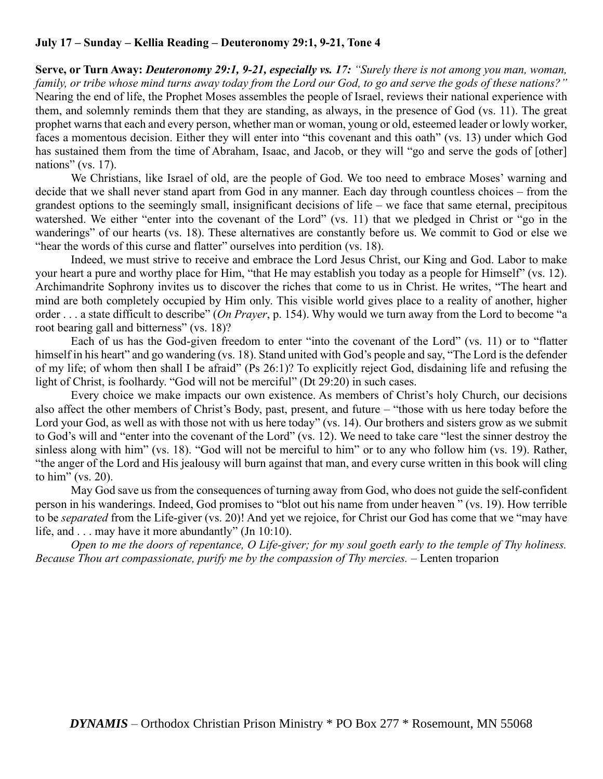# **July 17 – Sunday – Kellia Reading – Deuteronomy 29:1, 9-21, Tone 4**

**Serve, or Turn Away:** *Deuteronomy 29:1, 9-21, especially vs. 17: "Surely there is not among you man, woman, family, or tribe whose mind turns away today from the Lord our God, to go and serve the gods of these nations?"* Nearing the end of life, the Prophet Moses assembles the people of Israel, reviews their national experience with them, and solemnly reminds them that they are standing, as always, in the presence of God (vs. 11). The great prophet warns that each and every person, whether man or woman, young or old, esteemed leader or lowly worker, faces a momentous decision. Either they will enter into "this covenant and this oath" (vs. 13) under which God has sustained them from the time of Abraham, Isaac, and Jacob, or they will "go and serve the gods of [other] nations" (vs. 17).

We Christians, like Israel of old, are the people of God. We too need to embrace Moses' warning and decide that we shall never stand apart from God in any manner. Each day through countless choices – from the grandest options to the seemingly small, insignificant decisions of life – we face that same eternal, precipitous watershed. We either "enter into the covenant of the Lord" (vs. 11) that we pledged in Christ or "go in the wanderings" of our hearts (vs. 18). These alternatives are constantly before us. We commit to God or else we "hear the words of this curse and flatter" ourselves into perdition (vs. 18).

Indeed, we must strive to receive and embrace the Lord Jesus Christ, our King and God. Labor to make your heart a pure and worthy place for Him, "that He may establish you today as a people for Himself" (vs. 12). Archimandrite Sophrony invites us to discover the riches that come to us in Christ. He writes, "The heart and mind are both completely occupied by Him only. This visible world gives place to a reality of another, higher order . . . a state difficult to describe" (*On Prayer*, p. 154). Why would we turn away from the Lord to become "a root bearing gall and bitterness" (vs. 18)?

Each of us has the God-given freedom to enter "into the covenant of the Lord" (vs. 11) or to "flatter himself in his heart" and go wandering (vs. 18). Stand united with God's people and say, "The Lord is the defender of my life; of whom then shall I be afraid" (Ps 26:1)? To explicitly reject God, disdaining life and refusing the light of Christ, is foolhardy. "God will not be merciful" (Dt 29:20) in such cases.

Every choice we make impacts our own existence. As members of Christ's holy Church, our decisions also affect the other members of Christ's Body, past, present, and future – "those with us here today before the Lord your God, as well as with those not with us here today" (vs. 14). Our brothers and sisters grow as we submit to God's will and "enter into the covenant of the Lord" (vs. 12). We need to take care "lest the sinner destroy the sinless along with him" (vs. 18). "God will not be merciful to him" or to any who follow him (vs. 19). Rather, "the anger of the Lord and His jealousy will burn against that man, and every curse written in this book will cling to him" (vs. 20).

May God save us from the consequences of turning away from God, who does not guide the self-confident person in his wanderings. Indeed, God promises to "blot out his name from under heaven " (vs. 19). How terrible to be *separated* from the Life-giver (vs. 20)! And yet we rejoice, for Christ our God has come that we "may have life, and . . . may have it more abundantly" (Jn 10:10).

*Open to me the doors of repentance, O Life-giver; for my soul goeth early to the temple of Thy holiness. Because Thou art compassionate, purify me by the compassion of Thy mercies.* – Lenten troparion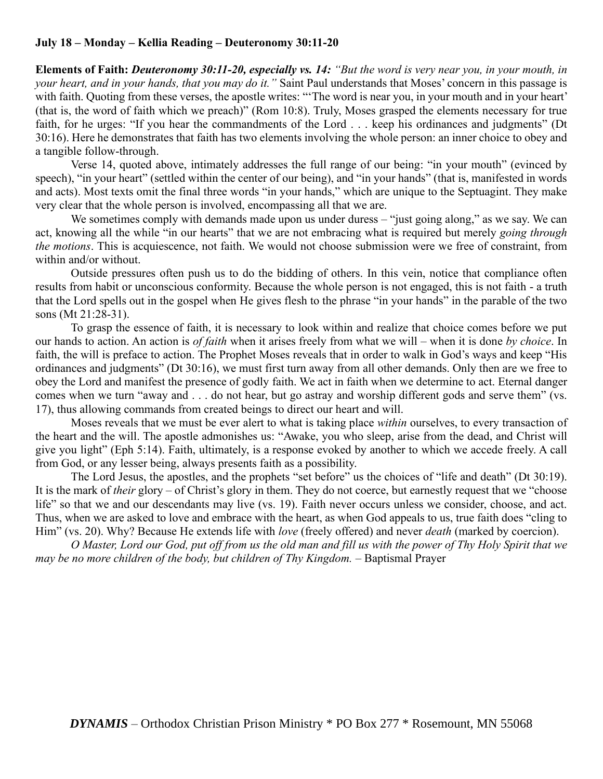# **July 18 – Monday – Kellia Reading – Deuteronomy 30:11-20**

**Elements of Faith:** *Deuteronomy 30:11-20, especially vs. 14: "But the word is very near you, in your mouth, in your heart, and in your hands, that you may do it."* Saint Paul understands that Moses' concern in this passage is with faith. Quoting from these verses, the apostle writes: "The word is near you, in your mouth and in your heart' (that is, the word of faith which we preach)" (Rom 10:8). Truly, Moses grasped the elements necessary for true faith, for he urges: "If you hear the commandments of the Lord . . . keep his ordinances and judgments" (Dt 30:16). Here he demonstrates that faith has two elements involving the whole person: an inner choice to obey and a tangible follow-through.

Verse 14, quoted above, intimately addresses the full range of our being: "in your mouth" (evinced by speech), "in your heart" (settled within the center of our being), and "in your hands" (that is, manifested in words and acts). Most texts omit the final three words "in your hands," which are unique to the Septuagint. They make very clear that the whole person is involved, encompassing all that we are.

We sometimes comply with demands made upon us under duress – "just going along," as we say. We can act, knowing all the while "in our hearts" that we are not embracing what is required but merely *going through the motions*. This is acquiescence, not faith. We would not choose submission were we free of constraint, from within and/or without.

Outside pressures often push us to do the bidding of others. In this vein, notice that compliance often results from habit or unconscious conformity. Because the whole person is not engaged, this is not faith - a truth that the Lord spells out in the gospel when He gives flesh to the phrase "in your hands" in the parable of the two sons (Mt 21:28-31).

To grasp the essence of faith, it is necessary to look within and realize that choice comes before we put our hands to action. An action is *of faith* when it arises freely from what we will – when it is done *by choice*. In faith, the will is preface to action. The Prophet Moses reveals that in order to walk in God's ways and keep "His ordinances and judgments" (Dt 30:16), we must first turn away from all other demands. Only then are we free to obey the Lord and manifest the presence of godly faith. We act in faith when we determine to act. Eternal danger comes when we turn "away and . . . do not hear, but go astray and worship different gods and serve them" (vs. 17), thus allowing commands from created beings to direct our heart and will.

Moses reveals that we must be ever alert to what is taking place *within* ourselves, to every transaction of the heart and the will. The apostle admonishes us: "Awake, you who sleep, arise from the dead, and Christ will give you light" (Eph 5:14). Faith, ultimately, is a response evoked by another to which we accede freely. A call from God, or any lesser being, always presents faith as a possibility.

The Lord Jesus, the apostles, and the prophets "set before" us the choices of "life and death" (Dt 30:19). It is the mark of *their* glory – of Christ's glory in them. They do not coerce, but earnestly request that we "choose life" so that we and our descendants may live (vs. 19). Faith never occurs unless we consider, choose, and act. Thus, when we are asked to love and embrace with the heart, as when God appeals to us, true faith does "cling to Him" (vs. 20). Why? Because He extends life with *love* (freely offered) and never *death* (marked by coercion).

*O Master, Lord our God, put off from us the old man and fill us with the power of Thy Holy Spirit that we may be no more children of the body, but children of Thy Kingdom.* – Baptismal Prayer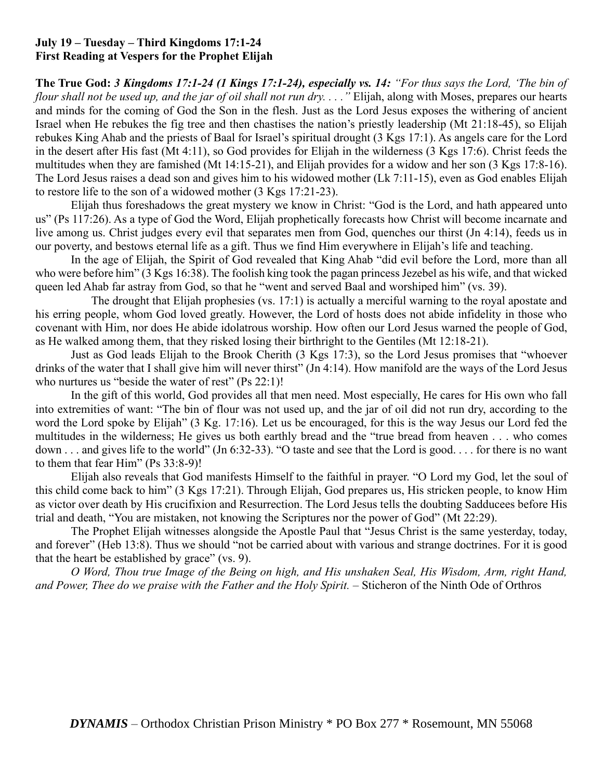# **July 19 – Tuesday – Third Kingdoms 17:1-24 First Reading at Vespers for the Prophet Elijah**

**The True God:** *3 Kingdoms 17:1-24 (1 Kings 17:1-24), especially vs. 14: "For thus says the Lord, 'The bin of flour shall not be used up, and the jar of oil shall not run dry. . . ."* Elijah, along with Moses, prepares our hearts and minds for the coming of God the Son in the flesh. Just as the Lord Jesus exposes the withering of ancient Israel when He rebukes the fig tree and then chastises the nation's priestly leadership (Mt 21:18-45), so Elijah rebukes King Ahab and the priests of Baal for Israel's spiritual drought (3 Kgs 17:1). As angels care for the Lord in the desert after His fast (Mt 4:11), so God provides for Elijah in the wilderness (3 Kgs 17:6). Christ feeds the multitudes when they are famished (Mt 14:15-21), and Elijah provides for a widow and her son (3 Kgs 17:8-16). The Lord Jesus raises a dead son and gives him to his widowed mother (Lk 7:11-15), even as God enables Elijah to restore life to the son of a widowed mother (3 Kgs 17:21-23).

Elijah thus foreshadows the great mystery we know in Christ: "God is the Lord, and hath appeared unto us" (Ps 117:26). As a type of God the Word, Elijah prophetically forecasts how Christ will become incarnate and live among us. Christ judges every evil that separates men from God, quenches our thirst (Jn 4:14), feeds us in our poverty, and bestows eternal life as a gift. Thus we find Him everywhere in Elijah's life and teaching.

In the age of Elijah, the Spirit of God revealed that King Ahab "did evil before the Lord, more than all who were before him" (3 Kgs 16:38). The foolish king took the pagan princess Jezebel as his wife, and that wicked queen led Ahab far astray from God, so that he "went and served Baal and worshiped him" (vs. 39).

The drought that Elijah prophesies (vs. 17:1) is actually a merciful warning to the royal apostate and his erring people, whom God loved greatly. However, the Lord of hosts does not abide infidelity in those who covenant with Him, nor does He abide idolatrous worship. How often our Lord Jesus warned the people of God, as He walked among them, that they risked losing their birthright to the Gentiles (Mt 12:18-21).

Just as God leads Elijah to the Brook Cherith (3 Kgs 17:3), so the Lord Jesus promises that "whoever drinks of the water that I shall give him will never thirst" (Jn 4:14). How manifold are the ways of the Lord Jesus who nurtures us "beside the water of rest" (Ps 22:1)!

In the gift of this world, God provides all that men need. Most especially, He cares for His own who fall into extremities of want: "The bin of flour was not used up, and the jar of oil did not run dry, according to the word the Lord spoke by Elijah" (3 Kg. 17:16). Let us be encouraged, for this is the way Jesus our Lord fed the multitudes in the wilderness; He gives us both earthly bread and the "true bread from heaven . . . who comes down . . . and gives life to the world" (Jn 6:32-33). "O taste and see that the Lord is good. . . . for there is no want to them that fear Him" (Ps 33:8-9)!

Elijah also reveals that God manifests Himself to the faithful in prayer. "O Lord my God, let the soul of this child come back to him" (3 Kgs 17:21). Through Elijah, God prepares us, His stricken people, to know Him as victor over death by His crucifixion and Resurrection. The Lord Jesus tells the doubting Sadducees before His trial and death, "You are mistaken, not knowing the Scriptures nor the power of God" (Mt 22:29).

The Prophet Elijah witnesses alongside the Apostle Paul that "Jesus Christ is the same yesterday, today, and forever" (Heb 13:8). Thus we should "not be carried about with various and strange doctrines. For it is good that the heart be established by grace" (vs. 9).

*O Word, Thou true Image of the Being on high, and His unshaken Seal, His Wisdom, Arm, right Hand, and Power, Thee do we praise with the Father and the Holy Spirit.* – Sticheron of the Ninth Ode of Orthros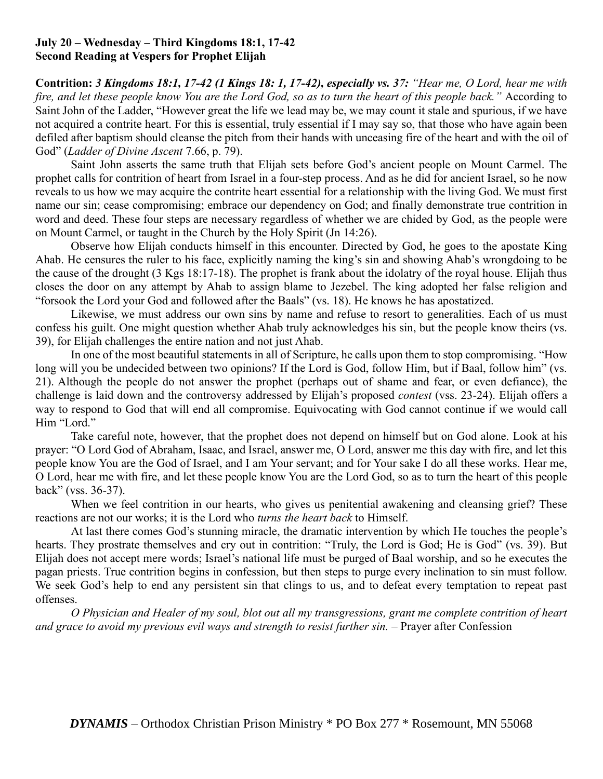# **July 20 – Wednesday – Third Kingdoms 18:1, 17-42 Second Reading at Vespers for Prophet Elijah**

**Contrition:** *3 Kingdoms 18:1, 17-42 (1 Kings 18: 1, 17-42), especially vs. 37: "Hear me, O Lord, hear me with fire, and let these people know You are the Lord God, so as to turn the heart of this people back."* According to Saint John of the Ladder, "However great the life we lead may be, we may count it stale and spurious, if we have not acquired a contrite heart. For this is essential, truly essential if I may say so, that those who have again been defiled after baptism should cleanse the pitch from their hands with unceasing fire of the heart and with the oil of God" (*Ladder of Divine Ascent* 7.66, p. 79).

Saint John asserts the same truth that Elijah sets before God's ancient people on Mount Carmel. The prophet calls for contrition of heart from Israel in a four-step process. And as he did for ancient Israel, so he now reveals to us how we may acquire the contrite heart essential for a relationship with the living God. We must first name our sin; cease compromising; embrace our dependency on God; and finally demonstrate true contrition in word and deed. These four steps are necessary regardless of whether we are chided by God, as the people were on Mount Carmel, or taught in the Church by the Holy Spirit (Jn 14:26).

Observe how Elijah conducts himself in this encounter. Directed by God, he goes to the apostate King Ahab. He censures the ruler to his face, explicitly naming the king's sin and showing Ahab's wrongdoing to be the cause of the drought (3 Kgs 18:17-18). The prophet is frank about the idolatry of the royal house. Elijah thus closes the door on any attempt by Ahab to assign blame to Jezebel. The king adopted her false religion and "forsook the Lord your God and followed after the Baals" (vs. 18). He knows he has apostatized.

Likewise, we must address our own sins by name and refuse to resort to generalities. Each of us must confess his guilt. One might question whether Ahab truly acknowledges his sin, but the people know theirs (vs. 39), for Elijah challenges the entire nation and not just Ahab.

In one of the most beautiful statements in all of Scripture, he calls upon them to stop compromising. "How long will you be undecided between two opinions? If the Lord is God, follow Him, but if Baal, follow him" (vs. 21). Although the people do not answer the prophet (perhaps out of shame and fear, or even defiance), the challenge is laid down and the controversy addressed by Elijah's proposed *contest* (vss. 23-24). Elijah offers a way to respond to God that will end all compromise. Equivocating with God cannot continue if we would call Him "Lord."

Take careful note, however, that the prophet does not depend on himself but on God alone. Look at his prayer: "O Lord God of Abraham, Isaac, and Israel, answer me, O Lord, answer me this day with fire, and let this people know You are the God of Israel, and I am Your servant; and for Your sake I do all these works. Hear me, O Lord, hear me with fire, and let these people know You are the Lord God, so as to turn the heart of this people back" (vss. 36-37).

When we feel contrition in our hearts, who gives us penitential awakening and cleansing grief? These reactions are not our works; it is the Lord who *turns the heart back* to Himself.

At last there comes God's stunning miracle, the dramatic intervention by which He touches the people's hearts. They prostrate themselves and cry out in contrition: "Truly, the Lord is God; He is God" (vs. 39). But Elijah does not accept mere words; Israel's national life must be purged of Baal worship, and so he executes the pagan priests. True contrition begins in confession, but then steps to purge every inclination to sin must follow. We seek God's help to end any persistent sin that clings to us, and to defeat every temptation to repeat past offenses.

*O Physician and Healer of my soul, blot out all my transgressions, grant me complete contrition of heart and grace to avoid my previous evil ways and strength to resist further sin.* – Prayer after Confession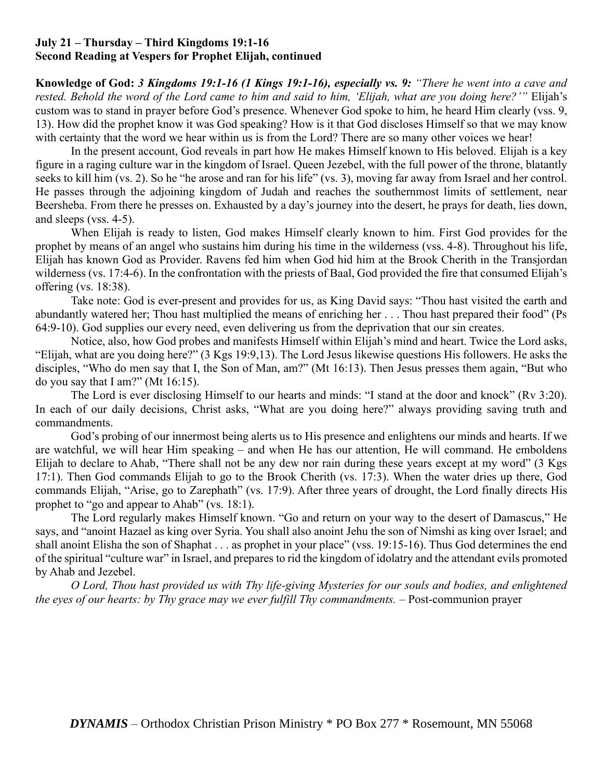# **July 21 – Thursday – Third Kingdoms 19:1-16 Second Reading at Vespers for Prophet Elijah, continued**

**Knowledge of God:** *3 Kingdoms 19:1-16 (1 Kings 19:1-16), especially vs. 9: "There he went into a cave and rested. Behold the word of the Lord came to him and said to him, 'Elijah, what are you doing here?'"* Elijah's custom was to stand in prayer before God's presence. Whenever God spoke to him, he heard Him clearly (vss. 9, 13). How did the prophet know it was God speaking? How is it that God discloses Himself so that we may know with certainty that the word we hear within us is from the Lord? There are so many other voices we hear!

In the present account, God reveals in part how He makes Himself known to His beloved. Elijah is a key figure in a raging culture war in the kingdom of Israel. Queen Jezebel, with the full power of the throne, blatantly seeks to kill him (vs. 2). So he "he arose and ran for his life" (vs. 3), moving far away from Israel and her control. He passes through the adjoining kingdom of Judah and reaches the southernmost limits of settlement, near Beersheba. From there he presses on. Exhausted by a day's journey into the desert, he prays for death, lies down, and sleeps (vss. 4-5).

When Elijah is ready to listen, God makes Himself clearly known to him. First God provides for the prophet by means of an angel who sustains him during his time in the wilderness (vss. 4-8). Throughout his life, Elijah has known God as Provider. Ravens fed him when God hid him at the Brook Cherith in the Transjordan wilderness (vs. 17:4-6). In the confrontation with the priests of Baal, God provided the fire that consumed Elijah's offering (vs. 18:38).

Take note: God is ever-present and provides for us, as King David says: "Thou hast visited the earth and abundantly watered her; Thou hast multiplied the means of enriching her . . . Thou hast prepared their food" (Ps 64:9-10). God supplies our every need, even delivering us from the deprivation that our sin creates.

Notice, also, how God probes and manifests Himself within Elijah's mind and heart. Twice the Lord asks, "Elijah, what are you doing here?" (3 Kgs 19:9,13). The Lord Jesus likewise questions His followers. He asks the disciples, "Who do men say that I, the Son of Man, am?" (Mt 16:13). Then Jesus presses them again, "But who do you say that I am?" (Mt 16:15).

The Lord is ever disclosing Himself to our hearts and minds: "I stand at the door and knock" (Rv 3:20). In each of our daily decisions, Christ asks, "What are you doing here?" always providing saving truth and commandments.

God's probing of our innermost being alerts us to His presence and enlightens our minds and hearts. If we are watchful, we will hear Him speaking – and when He has our attention, He will command. He emboldens Elijah to declare to Ahab, "There shall not be any dew nor rain during these years except at my word" (3 Kgs 17:1). Then God commands Elijah to go to the Brook Cherith (vs. 17:3). When the water dries up there, God commands Elijah, "Arise, go to Zarephath" (vs. 17:9). After three years of drought, the Lord finally directs His prophet to "go and appear to Ahab" (vs. 18:1).

The Lord regularly makes Himself known. "Go and return on your way to the desert of Damascus," He says, and "anoint Hazael as king over Syria. You shall also anoint Jehu the son of Nimshi as king over Israel; and shall anoint Elisha the son of Shaphat . . . as prophet in your place" (vss. 19:15-16). Thus God determines the end of the spiritual "culture war" in Israel, and prepares to rid the kingdom of idolatry and the attendant evils promoted by Ahab and Jezebel.

*O Lord, Thou hast provided us with Thy life-giving Mysteries for our souls and bodies, and enlightened the eyes of our hearts: by Thy grace may we ever fulfill Thy commandments.* – Post-communion prayer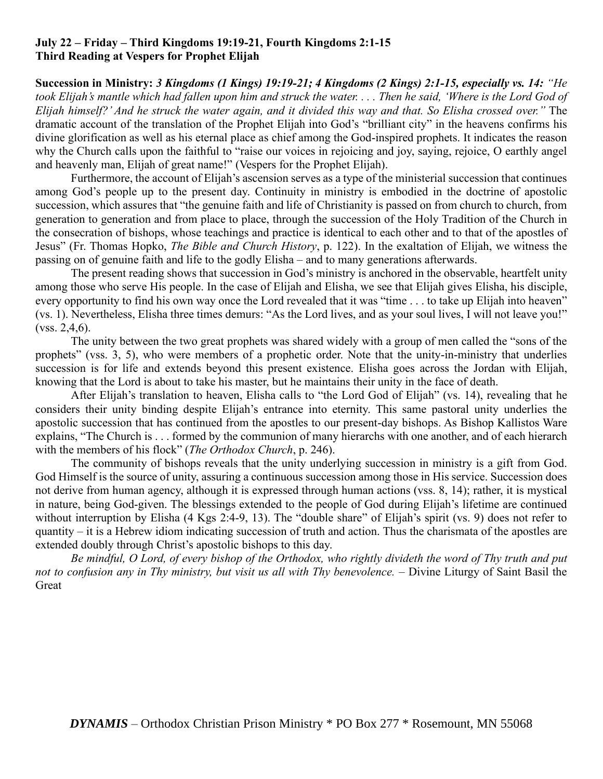# **July 22 – Friday – Third Kingdoms 19:19-21, Fourth Kingdoms 2:1-15 Third Reading at Vespers for Prophet Elijah**

**Succession in Ministry:** *3 Kingdoms (1 Kings) 19:19-21; 4 Kingdoms (2 Kings) 2:1-15, especially vs. 14: "He took Elijah's mantle which had fallen upon him and struck the water. . . . Then he said, 'Where is the Lord God of Elijah himself?' And he struck the water again, and it divided this way and that. So Elisha crossed over."* The dramatic account of the translation of the Prophet Elijah into God's "brilliant city" in the heavens confirms his divine glorification as well as his eternal place as chief among the God-inspired prophets. It indicates the reason why the Church calls upon the faithful to "raise our voices in rejoicing and joy, saying, rejoice, O earthly angel and heavenly man, Elijah of great name!" (Vespers for the Prophet Elijah).

Furthermore, the account of Elijah's ascension serves as a type of the ministerial succession that continues among God's people up to the present day. Continuity in ministry is embodied in the doctrine of apostolic succession, which assures that "the genuine faith and life of Christianity is passed on from church to church, from generation to generation and from place to place, through the succession of the Holy Tradition of the Church in the consecration of bishops, whose teachings and practice is identical to each other and to that of the apostles of Jesus" (Fr. Thomas Hopko, *The Bible and Church History*, p. 122). In the exaltation of Elijah, we witness the passing on of genuine faith and life to the godly Elisha – and to many generations afterwards.

The present reading shows that succession in God's ministry is anchored in the observable, heartfelt unity among those who serve His people. In the case of Elijah and Elisha, we see that Elijah gives Elisha, his disciple, every opportunity to find his own way once the Lord revealed that it was "time . . . to take up Elijah into heaven" (vs. 1). Nevertheless, Elisha three times demurs: "As the Lord lives, and as your soul lives, I will not leave you!" (vss. 2,4,6).

The unity between the two great prophets was shared widely with a group of men called the "sons of the prophets" (vss. 3, 5), who were members of a prophetic order. Note that the unity-in-ministry that underlies succession is for life and extends beyond this present existence. Elisha goes across the Jordan with Elijah, knowing that the Lord is about to take his master, but he maintains their unity in the face of death.

After Elijah's translation to heaven, Elisha calls to "the Lord God of Elijah" (vs. 14), revealing that he considers their unity binding despite Elijah's entrance into eternity. This same pastoral unity underlies the apostolic succession that has continued from the apostles to our present-day bishops. As Bishop Kallistos Ware explains, "The Church is . . . formed by the communion of many hierarchs with one another, and of each hierarch with the members of his flock" (*The Orthodox Church*, p. 246).

The community of bishops reveals that the unity underlying succession in ministry is a gift from God. God Himself is the source of unity, assuring a continuous succession among those in His service. Succession does not derive from human agency, although it is expressed through human actions (vss. 8, 14); rather, it is mystical in nature, being God-given. The blessings extended to the people of God during Elijah's lifetime are continued without interruption by Elisha (4 Kgs 2:4-9, 13). The "double share" of Elijah's spirit (vs. 9) does not refer to quantity – it is a Hebrew idiom indicating succession of truth and action. Thus the charismata of the apostles are extended doubly through Christ's apostolic bishops to this day.

*Be mindful, O Lord, of every bishop of the Orthodox, who rightly divideth the word of Thy truth and put not to confusion any in Thy ministry, but visit us all with Thy benevolence.* – Divine Liturgy of Saint Basil the Great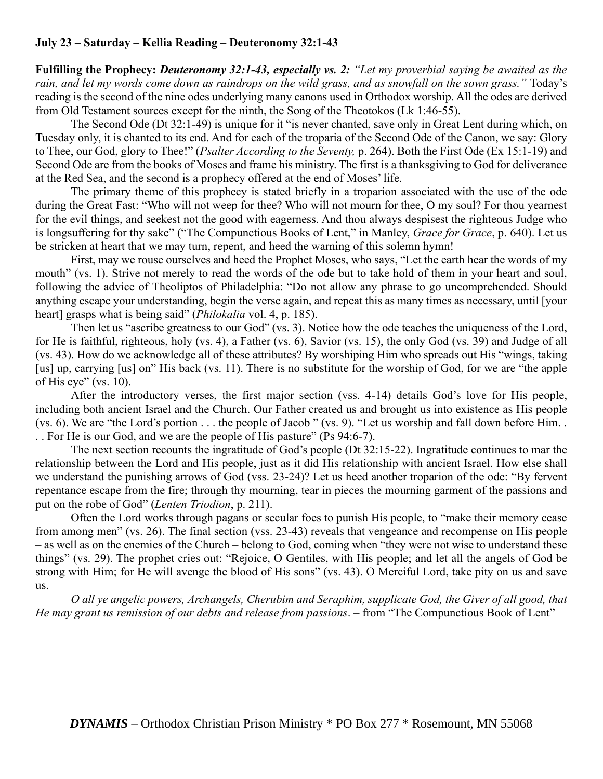# **July 23 – Saturday – Kellia Reading – Deuteronomy 32:1-43**

**Fulfilling the Prophecy:** *Deuteronomy 32:1-43, especially vs. 2: "Let my proverbial saying be awaited as the rain, and let my words come down as raindrops on the wild grass, and as snowfall on the sown grass."* Today's reading is the second of the nine odes underlying many canons used in Orthodox worship. All the odes are derived from Old Testament sources except for the ninth, the Song of the Theotokos (Lk 1:46-55).

The Second Ode (Dt 32:1-49) is unique for it "is never chanted, save only in Great Lent during which, on Tuesday only, it is chanted to its end. And for each of the troparia of the Second Ode of the Canon, we say: Glory to Thee, our God, glory to Thee!" (*Psalter According to the Seventy,* p. 264). Both the First Ode (Ex 15:1-19) and Second Ode are from the books of Moses and frame his ministry. The first is a thanksgiving to God for deliverance at the Red Sea, and the second is a prophecy offered at the end of Moses' life.

The primary theme of this prophecy is stated briefly in a troparion associated with the use of the ode during the Great Fast: "Who will not weep for thee? Who will not mourn for thee, O my soul? For thou yearnest for the evil things, and seekest not the good with eagerness. And thou always despisest the righteous Judge who is longsuffering for thy sake" ("The Compunctious Books of Lent," in Manley, *Grace for Grace*, p. 640). Let us be stricken at heart that we may turn, repent, and heed the warning of this solemn hymn!

First, may we rouse ourselves and heed the Prophet Moses, who says, "Let the earth hear the words of my mouth" (vs. 1). Strive not merely to read the words of the ode but to take hold of them in your heart and soul, following the advice of Theoliptos of Philadelphia: "Do not allow any phrase to go uncomprehended. Should anything escape your understanding, begin the verse again, and repeat this as many times as necessary, until [your heart] grasps what is being said" (*Philokalia* vol. 4, p. 185).

Then let us "ascribe greatness to our God" (vs. 3). Notice how the ode teaches the uniqueness of the Lord, for He is faithful, righteous, holy (vs. 4), a Father (vs. 6), Savior (vs. 15), the only God (vs. 39) and Judge of all (vs. 43). How do we acknowledge all of these attributes? By worshiping Him who spreads out His "wings, taking [us] up, carrying [us] on" His back (vs. 11). There is no substitute for the worship of God, for we are "the apple of His eye" (vs. 10).

After the introductory verses, the first major section (vss. 4-14) details God's love for His people, including both ancient Israel and the Church. Our Father created us and brought us into existence as His people (vs. 6). We are "the Lord's portion . . . the people of Jacob " (vs. 9). "Let us worship and fall down before Him. . . . For He is our God, and we are the people of His pasture" (Ps 94:6-7).

The next section recounts the ingratitude of God's people (Dt 32:15-22). Ingratitude continues to mar the relationship between the Lord and His people, just as it did His relationship with ancient Israel. How else shall we understand the punishing arrows of God (vss. 23-24)? Let us heed another troparion of the ode: "By fervent repentance escape from the fire; through thy mourning, tear in pieces the mourning garment of the passions and put on the robe of God" (*Lenten Triodion*, p. 211).

Often the Lord works through pagans or secular foes to punish His people, to "make their memory cease from among men" (vs. 26). The final section (vss. 23-43) reveals that vengeance and recompense on His people – as well as on the enemies of the Church – belong to God, coming when "they were not wise to understand these things" (vs. 29). The prophet cries out: "Rejoice, O Gentiles, with His people; and let all the angels of God be strong with Him; for He will avenge the blood of His sons" (vs. 43). O Merciful Lord, take pity on us and save us.

*O all ye angelic powers, Archangels, Cherubim and Seraphim, supplicate God, the Giver of all good, that He may grant us remission of our debts and release from passions*. – from "The Compunctious Book of Lent"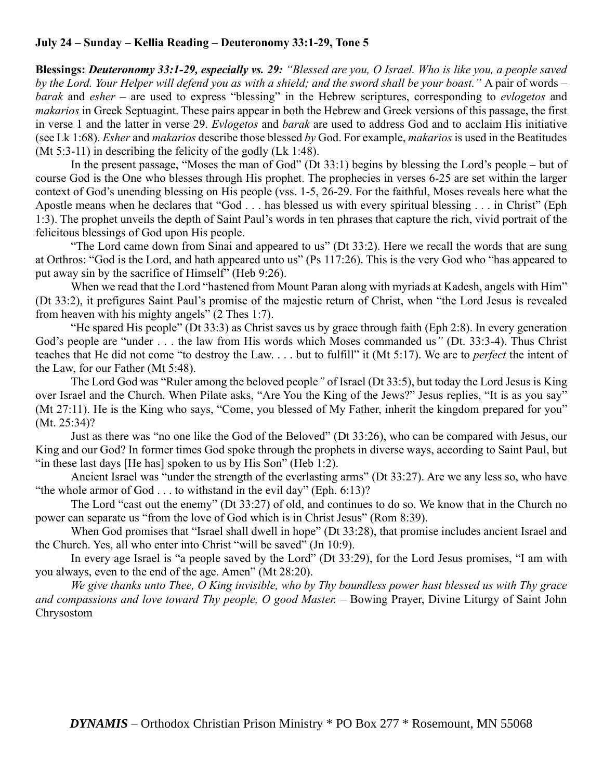# **July 24 – Sunday – Kellia Reading – Deuteronomy 33:1-29, Tone 5**

**Blessings:** *Deuteronomy 33:1-29, especially vs. 29: "Blessed are you, O Israel. Who is like you, a people saved by the Lord. Your Helper will defend you as with a shield; and the sword shall be your boast."* A pair of words – *barak* and *esher* – are used to express "blessing" in the Hebrew scriptures, corresponding to *evlogetos* and *makarios* in Greek Septuagint. These pairs appear in both the Hebrew and Greek versions of this passage, the first in verse 1 and the latter in verse 29. *Evlogetos* and *barak* are used to address God and to acclaim His initiative (see Lk 1:68). *Esher* and *makarios* describe those blessed *by* God. For example, *makarios* is used in the Beatitudes (Mt 5:3-11) in describing the felicity of the godly (Lk 1:48).

In the present passage, "Moses the man of God" (Dt 33:1) begins by blessing the Lord's people – but of course God is the One who blesses through His prophet. The prophecies in verses 6-25 are set within the larger context of God's unending blessing on His people (vss. 1-5, 26-29. For the faithful, Moses reveals here what the Apostle means when he declares that "God . . . has blessed us with every spiritual blessing . . . in Christ" (Eph 1:3). The prophet unveils the depth of Saint Paul's words in ten phrases that capture the rich, vivid portrait of the felicitous blessings of God upon His people.

"The Lord came down from Sinai and appeared to us" (Dt 33:2). Here we recall the words that are sung at Orthros: "God is the Lord, and hath appeared unto us" (Ps 117:26). This is the very God who "has appeared to put away sin by the sacrifice of Himself" (Heb 9:26).

When we read that the Lord "hastened from Mount Paran along with myriads at Kadesh, angels with Him" (Dt 33:2), it prefigures Saint Paul's promise of the majestic return of Christ, when "the Lord Jesus is revealed from heaven with his mighty angels" (2 Thes 1:7).

"He spared His people" (Dt 33:3) as Christ saves us by grace through faith (Eph 2:8). In every generation God's people are "under . . . the law from His words which Moses commanded us*"* (Dt. 33:3-4). Thus Christ teaches that He did not come "to destroy the Law. . . . but to fulfill" it (Mt 5:17). We are to *perfect* the intent of the Law, for our Father (Mt 5:48).

The Lord God was "Ruler among the beloved people*"* of Israel (Dt 33:5), but today the Lord Jesus is King over Israel and the Church. When Pilate asks, "Are You the King of the Jews?" Jesus replies, "It is as you say" (Mt 27:11). He is the King who says, "Come, you blessed of My Father, inherit the kingdom prepared for you" (Mt. 25:34)?

Just as there was "no one like the God of the Beloved" (Dt 33:26), who can be compared with Jesus, our King and our God? In former times God spoke through the prophets in diverse ways, according to Saint Paul, but "in these last days [He has] spoken to us by His Son" (Heb 1:2).

Ancient Israel was "under the strength of the everlasting arms" (Dt 33:27). Are we any less so, who have "the whole armor of God  $\dots$  to withstand in the evil day" (Eph. 6:13)?

The Lord "cast out the enemy" (Dt 33:27) of old, and continues to do so. We know that in the Church no power can separate us "from the love of God which is in Christ Jesus" (Rom 8:39).

When God promises that "Israel shall dwell in hope" (Dt 33:28), that promise includes ancient Israel and the Church. Yes, all who enter into Christ "will be saved" (Jn 10:9).

In every age Israel is "a people saved by the Lord" (Dt 33:29), for the Lord Jesus promises, "I am with you always, even to the end of the age. Amen" (Mt 28:20).

*We give thanks unto Thee, O King invisible, who by Thy boundless power hast blessed us with Thy grace and compassions and love toward Thy people, O good Master.* – Bowing Prayer, Divine Liturgy of Saint John Chrysostom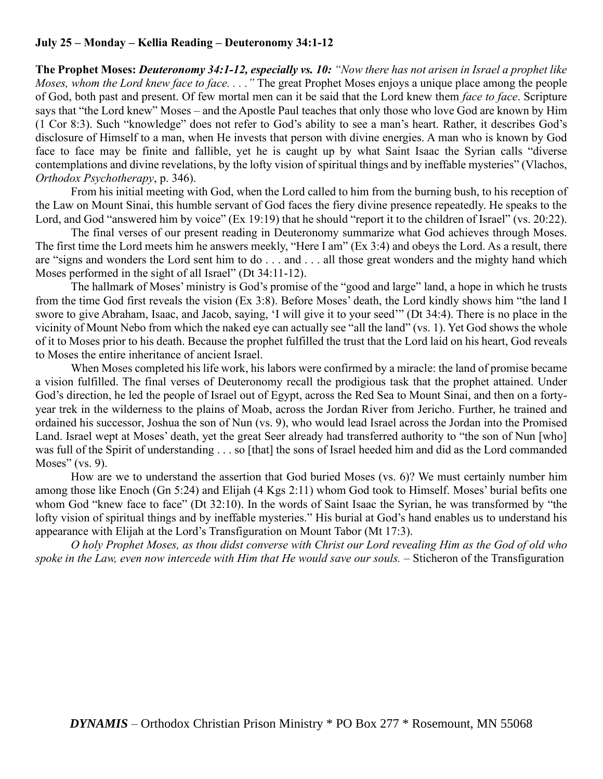# **July 25 – Monday – Kellia Reading – Deuteronomy 34:1-12**

**The Prophet Moses:** *Deuteronomy 34:1-12, especially vs. 10: "Now there has not arisen in Israel a prophet like Moses, whom the Lord knew face to face. . . ."* The great Prophet Moses enjoys a unique place among the people of God, both past and present. Of few mortal men can it be said that the Lord knew them *face to face*. Scripture says that "the Lord knew" Moses – and the Apostle Paul teaches that only those who love God are known by Him (1 Cor 8:3). Such "knowledge" does not refer to God's ability to see a man's heart. Rather, it describes God's disclosure of Himself to a man, when He invests that person with divine energies. A man who is known by God face to face may be finite and fallible, yet he is caught up by what Saint Isaac the Syrian calls "diverse contemplations and divine revelations, by the lofty vision of spiritual things and by ineffable mysteries" (Vlachos, *Orthodox Psychotherapy*, p. 346).

From his initial meeting with God, when the Lord called to him from the burning bush, to his reception of the Law on Mount Sinai, this humble servant of God faces the fiery divine presence repeatedly. He speaks to the Lord, and God "answered him by voice" (Ex 19:19) that he should "report it to the children of Israel" (vs. 20:22).

The final verses of our present reading in Deuteronomy summarize what God achieves through Moses. The first time the Lord meets him he answers meekly, "Here I am" (Ex 3:4) and obeys the Lord. As a result, there are "signs and wonders the Lord sent him to do . . . and . . . all those great wonders and the mighty hand which Moses performed in the sight of all Israel" (Dt 34:11-12).

The hallmark of Moses' ministry is God's promise of the "good and large" land, a hope in which he trusts from the time God first reveals the vision (Ex 3:8). Before Moses' death, the Lord kindly shows him "the land I swore to give Abraham, Isaac, and Jacob, saying, 'I will give it to your seed'" (Dt 34:4). There is no place in the vicinity of Mount Nebo from which the naked eye can actually see "all the land" (vs. 1). Yet God shows the whole of it to Moses prior to his death. Because the prophet fulfilled the trust that the Lord laid on his heart, God reveals to Moses the entire inheritance of ancient Israel.

When Moses completed his life work, his labors were confirmed by a miracle: the land of promise became a vision fulfilled. The final verses of Deuteronomy recall the prodigious task that the prophet attained. Under God's direction, he led the people of Israel out of Egypt, across the Red Sea to Mount Sinai, and then on a fortyyear trek in the wilderness to the plains of Moab, across the Jordan River from Jericho. Further, he trained and ordained his successor, Joshua the son of Nun (vs. 9), who would lead Israel across the Jordan into the Promised Land. Israel wept at Moses' death, yet the great Seer already had transferred authority to "the son of Nun [who] was full of the Spirit of understanding . . . so [that] the sons of Israel heeded him and did as the Lord commanded Moses" (vs. 9).

How are we to understand the assertion that God buried Moses (vs. 6)? We must certainly number him among those like Enoch (Gn 5:24) and Elijah (4 Kgs 2:11) whom God took to Himself. Moses' burial befits one whom God "knew face to face" (Dt 32:10). In the words of Saint Isaac the Syrian, he was transformed by "the lofty vision of spiritual things and by ineffable mysteries." His burial at God's hand enables us to understand his appearance with Elijah at the Lord's Transfiguration on Mount Tabor (Mt 17:3).

*O holy Prophet Moses, as thou didst converse with Christ our Lord revealing Him as the God of old who spoke in the Law, even now intercede with Him that He would save our souls.* – Sticheron of the Transfiguration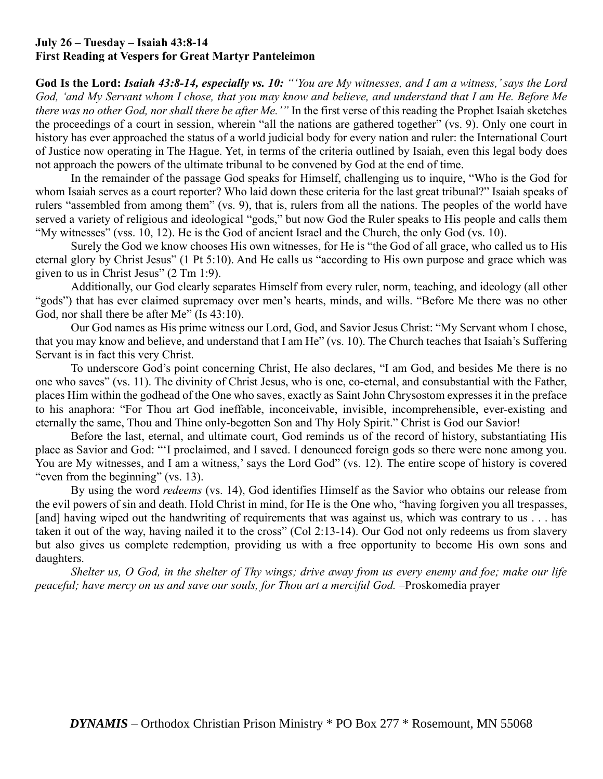### **July 26 – Tuesday – Isaiah 43:8-14 First Reading at Vespers for Great Martyr Panteleimon**

**God Is the Lord:** *Isaiah 43:8-14, especially vs. 10: "'You are My witnesses, and I am a witness,' says the Lord God, 'and My Servant whom I chose, that you may know and believe, and understand that I am He. Before Me there was no other God, nor shall there be after Me.'"* In the first verse of this reading the Prophet Isaiah sketches the proceedings of a court in session, wherein "all the nations are gathered together" (vs. 9). Only one court in history has ever approached the status of a world judicial body for every nation and ruler: the International Court of Justice now operating in The Hague. Yet, in terms of the criteria outlined by Isaiah, even this legal body does not approach the powers of the ultimate tribunal to be convened by God at the end of time.

In the remainder of the passage God speaks for Himself, challenging us to inquire, "Who is the God for whom Isaiah serves as a court reporter? Who laid down these criteria for the last great tribunal?" Isaiah speaks of rulers "assembled from among them" (vs. 9), that is, rulers from all the nations. The peoples of the world have served a variety of religious and ideological "gods," but now God the Ruler speaks to His people and calls them "My witnesses" (vss. 10, 12). He is the God of ancient Israel and the Church, the only God (vs. 10).

Surely the God we know chooses His own witnesses, for He is "the God of all grace, who called us to His eternal glory by Christ Jesus" (1 Pt 5:10). And He calls us "according to His own purpose and grace which was given to us in Christ Jesus" (2 Tm 1:9).

Additionally, our God clearly separates Himself from every ruler, norm, teaching, and ideology (all other "gods") that has ever claimed supremacy over men's hearts, minds, and wills. "Before Me there was no other God, nor shall there be after Me" (Is 43:10).

Our God names as His prime witness our Lord, God, and Savior Jesus Christ: "My Servant whom I chose, that you may know and believe, and understand that I am He" (vs. 10). The Church teaches that Isaiah's Suffering Servant is in fact this very Christ.

To underscore God's point concerning Christ, He also declares, "I am God, and besides Me there is no one who saves" (vs. 11). The divinity of Christ Jesus, who is one, co-eternal, and consubstantial with the Father, places Him within the godhead of the One who saves, exactly as Saint John Chrysostom expresses it in the preface to his anaphora: "For Thou art God ineffable, inconceivable, invisible, incomprehensible, ever-existing and eternally the same, Thou and Thine only-begotten Son and Thy Holy Spirit." Christ is God our Savior!

Before the last, eternal, and ultimate court, God reminds us of the record of history, substantiating His place as Savior and God: "'I proclaimed, and I saved. I denounced foreign gods so there were none among you. You are My witnesses, and I am a witness,' says the Lord God" (vs. 12). The entire scope of history is covered "even from the beginning" (vs. 13).

By using the word *redeems* (vs. 14), God identifies Himself as the Savior who obtains our release from the evil powers of sin and death. Hold Christ in mind, for He is the One who, "having forgiven you all trespasses, [and] having wiped out the handwriting of requirements that was against us, which was contrary to us . . . has taken it out of the way, having nailed it to the cross" (Col 2:13-14). Our God not only redeems us from slavery but also gives us complete redemption, providing us with a free opportunity to become His own sons and daughters.

*Shelter us, O God, in the shelter of Thy wings; drive away from us every enemy and foe; make our life peaceful; have mercy on us and save our souls, for Thou art a merciful God. –*Proskomedia prayer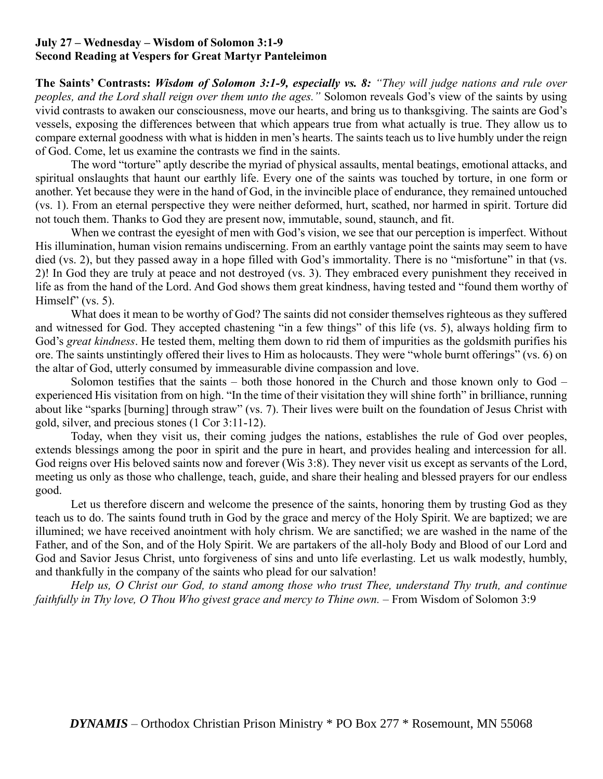### **July 27 – Wednesday – Wisdom of Solomon 3:1-9 Second Reading at Vespers for Great Martyr Panteleimon**

**The Saints' Contrasts:** *Wisdom of Solomon 3:1-9, especially vs. 8: "They will judge nations and rule over peoples, and the Lord shall reign over them unto the ages."* Solomon reveals God's view of the saints by using vivid contrasts to awaken our consciousness, move our hearts, and bring us to thanksgiving. The saints are God's vessels, exposing the differences between that which appears true from what actually is true. They allow us to compare external goodness with what is hidden in men's hearts. The saints teach us to live humbly under the reign of God. Come, let us examine the contrasts we find in the saints.

The word "torture" aptly describe the myriad of physical assaults, mental beatings, emotional attacks, and spiritual onslaughts that haunt our earthly life. Every one of the saints was touched by torture, in one form or another. Yet because they were in the hand of God, in the invincible place of endurance, they remained untouched (vs. 1). From an eternal perspective they were neither deformed, hurt, scathed, nor harmed in spirit. Torture did not touch them. Thanks to God they are present now, immutable, sound, staunch, and fit.

When we contrast the eyesight of men with God's vision, we see that our perception is imperfect. Without His illumination, human vision remains undiscerning. From an earthly vantage point the saints may seem to have died (vs. 2), but they passed away in a hope filled with God's immortality. There is no "misfortune" in that (vs. 2)! In God they are truly at peace and not destroyed (vs. 3). They embraced every punishment they received in life as from the hand of the Lord. And God shows them great kindness, having tested and "found them worthy of Himself" (vs. 5).

What does it mean to be worthy of God? The saints did not consider themselves righteous as they suffered and witnessed for God. They accepted chastening "in a few things" of this life (vs. 5), always holding firm to God's *great kindness*. He tested them, melting them down to rid them of impurities as the goldsmith purifies his ore. The saints unstintingly offered their lives to Him as holocausts. They were "whole burnt offerings" (vs. 6) on the altar of God, utterly consumed by immeasurable divine compassion and love.

Solomon testifies that the saints – both those honored in the Church and those known only to God – experienced His visitation from on high. "In the time of their visitation they will shine forth" in brilliance, running about like "sparks [burning] through straw" (vs. 7). Their lives were built on the foundation of Jesus Christ with gold, silver, and precious stones (1 Cor 3:11-12).

Today, when they visit us, their coming judges the nations, establishes the rule of God over peoples, extends blessings among the poor in spirit and the pure in heart, and provides healing and intercession for all. God reigns over His beloved saints now and forever (Wis 3:8). They never visit us except as servants of the Lord, meeting us only as those who challenge, teach, guide, and share their healing and blessed prayers for our endless good.

Let us therefore discern and welcome the presence of the saints, honoring them by trusting God as they teach us to do. The saints found truth in God by the grace and mercy of the Holy Spirit. We are baptized; we are illumined; we have received anointment with holy chrism. We are sanctified; we are washed in the name of the Father, and of the Son, and of the Holy Spirit. We are partakers of the all-holy Body and Blood of our Lord and God and Savior Jesus Christ, unto forgiveness of sins and unto life everlasting. Let us walk modestly, humbly, and thankfully in the company of the saints who plead for our salvation!

*Help us, O Christ our God, to stand among those who trust Thee, understand Thy truth, and continue faithfully in Thy love, O Thou Who givest grace and mercy to Thine own.* – From Wisdom of Solomon 3:9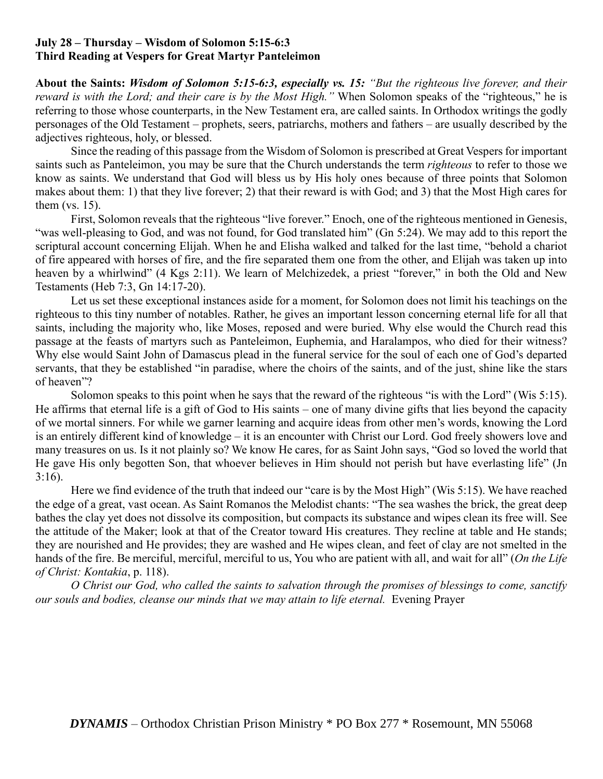### **July 28 – Thursday – Wisdom of Solomon 5:15-6:3 Third Reading at Vespers for Great Martyr Panteleimon**

**About the Saints:** *Wisdom of Solomon 5:15-6:3, especially vs. 15: "But the righteous live forever, and their reward is with the Lord; and their care is by the Most High."* When Solomon speaks of the "righteous," he is referring to those whose counterparts, in the New Testament era, are called saints. In Orthodox writings the godly personages of the Old Testament – prophets, seers, patriarchs, mothers and fathers – are usually described by the adjectives righteous, holy, or blessed.

Since the reading of this passage from the Wisdom of Solomon is prescribed at Great Vespers for important saints such as Panteleimon, you may be sure that the Church understands the term *righteous* to refer to those we know as saints. We understand that God will bless us by His holy ones because of three points that Solomon makes about them: 1) that they live forever; 2) that their reward is with God; and 3) that the Most High cares for them (vs. 15).

First, Solomon reveals that the righteous "live forever." Enoch, one of the righteous mentioned in Genesis, "was well-pleasing to God, and was not found, for God translated him" (Gn 5:24). We may add to this report the scriptural account concerning Elijah. When he and Elisha walked and talked for the last time, "behold a chariot of fire appeared with horses of fire, and the fire separated them one from the other, and Elijah was taken up into heaven by a whirlwind" (4 Kgs 2:11). We learn of Melchizedek, a priest "forever," in both the Old and New Testaments (Heb 7:3, Gn 14:17-20).

Let us set these exceptional instances aside for a moment, for Solomon does not limit his teachings on the righteous to this tiny number of notables. Rather, he gives an important lesson concerning eternal life for all that saints, including the majority who, like Moses, reposed and were buried. Why else would the Church read this passage at the feasts of martyrs such as Panteleimon, Euphemia, and Haralampos, who died for their witness? Why else would Saint John of Damascus plead in the funeral service for the soul of each one of God's departed servants, that they be established "in paradise, where the choirs of the saints, and of the just, shine like the stars of heaven"?

Solomon speaks to this point when he says that the reward of the righteous "is with the Lord" (Wis 5:15). He affirms that eternal life is a gift of God to His saints – one of many divine gifts that lies beyond the capacity of we mortal sinners. For while we garner learning and acquire ideas from other men's words, knowing the Lord is an entirely different kind of knowledge – it is an encounter with Christ our Lord. God freely showers love and many treasures on us. Is it not plainly so? We know He cares, for as Saint John says, "God so loved the world that He gave His only begotten Son, that whoever believes in Him should not perish but have everlasting life" (Jn 3:16).

Here we find evidence of the truth that indeed our "care is by the Most High" (Wis 5:15). We have reached the edge of a great, vast ocean. As Saint Romanos the Melodist chants: "The sea washes the brick, the great deep bathes the clay yet does not dissolve its composition, but compacts its substance and wipes clean its free will. See the attitude of the Maker; look at that of the Creator toward His creatures. They recline at table and He stands; they are nourished and He provides; they are washed and He wipes clean, and feet of clay are not smelted in the hands of the fire. Be merciful, merciful, merciful to us, You who are patient with all, and wait for all" (*On the Life of Christ: Kontakia*, p. 118).

*O Christ our God, who called the saints to salvation through the promises of blessings to come, sanctify our souls and bodies, cleanse our minds that we may attain to life eternal.* Evening Prayer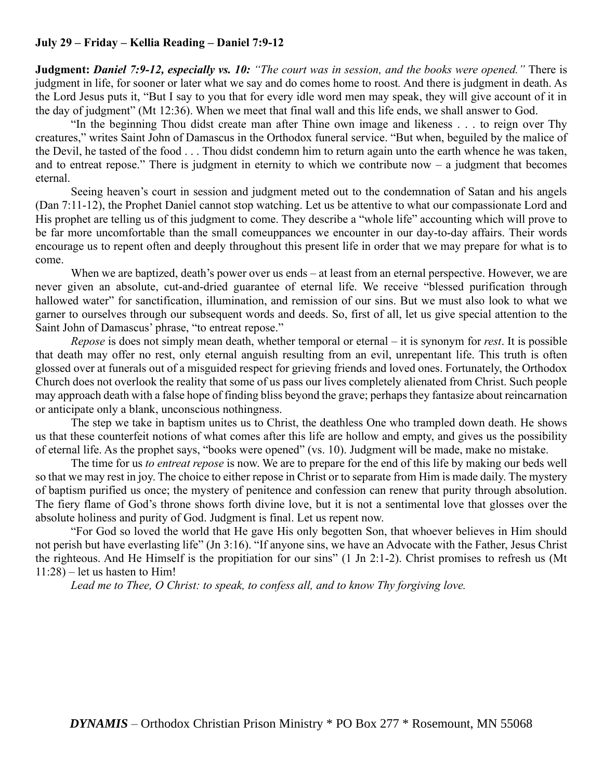# **July 29 – Friday – Kellia Reading – Daniel 7:9-12**

**Judgment:** *Daniel 7:9-12, especially vs. 10: "The court was in session, and the books were opened."* There is judgment in life, for sooner or later what we say and do comes home to roost*.* And there is judgment in death. As the Lord Jesus puts it, "But I say to you that for every idle word men may speak, they will give account of it in the day of judgment" (Mt 12:36). When we meet that final wall and this life ends, we shall answer to God.

"In the beginning Thou didst create man after Thine own image and likeness . . . to reign over Thy creatures," writes Saint John of Damascus in the Orthodox funeral service. "But when, beguiled by the malice of the Devil, he tasted of the food . . . Thou didst condemn him to return again unto the earth whence he was taken, and to entreat repose." There is judgment in eternity to which we contribute now  $-$  a judgment that becomes eternal.

Seeing heaven's court in session and judgment meted out to the condemnation of Satan and his angels (Dan 7:11-12), the Prophet Daniel cannot stop watching. Let us be attentive to what our compassionate Lord and His prophet are telling us of this judgment to come. They describe a "whole life" accounting which will prove to be far more uncomfortable than the small comeuppances we encounter in our day-to-day affairs. Their words encourage us to repent often and deeply throughout this present life in order that we may prepare for what is to come.

When we are baptized, death's power over us ends – at least from an eternal perspective. However, we are never given an absolute, cut-and-dried guarantee of eternal life. We receive "blessed purification through hallowed water" for sanctification, illumination, and remission of our sins. But we must also look to what we garner to ourselves through our subsequent words and deeds. So, first of all, let us give special attention to the Saint John of Damascus' phrase, "to entreat repose."

*Repose* is does not simply mean death, whether temporal or eternal – it is synonym for *rest*. It is possible that death may offer no rest, only eternal anguish resulting from an evil, unrepentant life. This truth is often glossed over at funerals out of a misguided respect for grieving friends and loved ones. Fortunately, the Orthodox Church does not overlook the reality that some of us pass our lives completely alienated from Christ. Such people may approach death with a false hope of finding bliss beyond the grave; perhaps they fantasize about reincarnation or anticipate only a blank, unconscious nothingness.

The step we take in baptism unites us to Christ, the deathless One who trampled down death. He shows us that these counterfeit notions of what comes after this life are hollow and empty, and gives us the possibility of eternal life. As the prophet says, "books were opened" (vs. 10). Judgment will be made, make no mistake.

The time for us *to entreat repose* is now. We are to prepare for the end of this life by making our beds well so that we may rest in joy. The choice to either repose in Christ or to separate from Him is made daily. The mystery of baptism purified us once; the mystery of penitence and confession can renew that purity through absolution. The fiery flame of God's throne shows forth divine love, but it is not a sentimental love that glosses over the absolute holiness and purity of God. Judgment is final. Let us repent now.

"For God so loved the world that He gave His only begotten Son, that whoever believes in Him should not perish but have everlasting life" (Jn 3:16). "If anyone sins, we have an Advocate with the Father, Jesus Christ the righteous. And He Himself is the propitiation for our sins" (1 Jn 2:1-2). Christ promises to refresh us (Mt 11:28) – let us hasten to Him!

*Lead me to Thee, O Christ: to speak, to confess all, and to know Thy forgiving love.*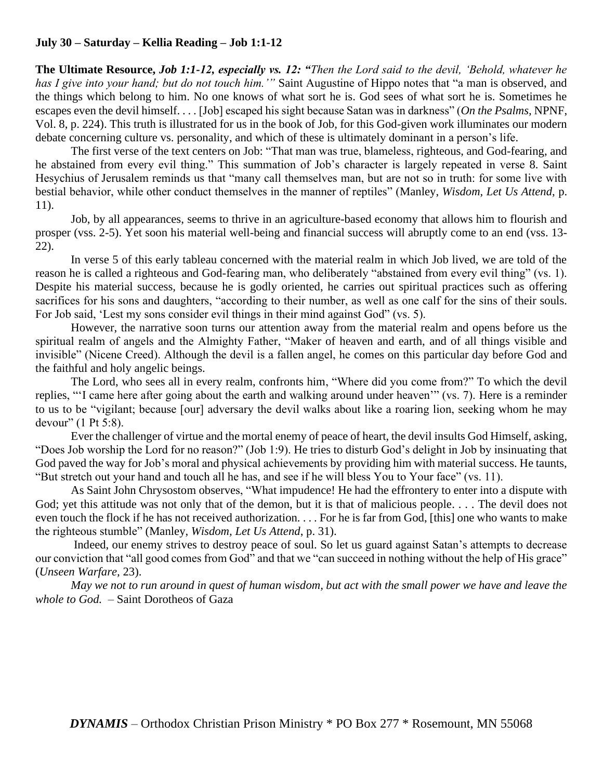# **July 30 – Saturday – Kellia Reading – Job 1:1-12**

**The Ultimate Resource,** *Job 1:1-12, especially vs. 12: "Then the Lord said to the devil, 'Behold, whatever he has I give into your hand; but do not touch him.'"* Saint Augustine of Hippo notes that "a man is observed, and the things which belong to him. No one knows of what sort he is. God sees of what sort he is. Sometimes he escapes even the devil himself. . . . [Job] escaped his sight because Satan was in darkness" (*On the Psalms,* NPNF, Vol. 8, p. 224). This truth is illustrated for us in the book of Job, for this God-given work illuminates our modern debate concerning culture vs. personality, and which of these is ultimately dominant in a person's life.

The first verse of the text centers on Job: "That man was true, blameless, righteous, and God-fearing, and he abstained from every evil thing." This summation of Job's character is largely repeated in verse 8. Saint Hesychius of Jerusalem reminds us that "many call themselves man, but are not so in truth: for some live with bestial behavior, while other conduct themselves in the manner of reptiles" (Manley, *Wisdom, Let Us Attend*, p. 11).

Job, by all appearances, seems to thrive in an agriculture-based economy that allows him to flourish and prosper (vss. 2-5). Yet soon his material well-being and financial success will abruptly come to an end (vss. 13- 22).

In verse 5 of this early tableau concerned with the material realm in which Job lived, we are told of the reason he is called a righteous and God-fearing man, who deliberately "abstained from every evil thing" (vs. 1). Despite his material success, because he is godly oriented, he carries out spiritual practices such as offering sacrifices for his sons and daughters, "according to their number, as well as one calf for the sins of their souls. For Job said, 'Lest my sons consider evil things in their mind against God" (vs. 5).

However, the narrative soon turns our attention away from the material realm and opens before us the spiritual realm of angels and the Almighty Father, "Maker of heaven and earth, and of all things visible and invisible" (Nicene Creed). Although the devil is a fallen angel, he comes on this particular day before God and the faithful and holy angelic beings.

The Lord, who sees all in every realm, confronts him, "Where did you come from?" To which the devil replies, "'I came here after going about the earth and walking around under heaven'" (vs. 7). Here is a reminder to us to be "vigilant; because [our] adversary the devil walks about like a roaring lion, seeking whom he may devour" (1 Pt 5:8).

Ever the challenger of virtue and the mortal enemy of peace of heart, the devil insults God Himself, asking, "Does Job worship the Lord for no reason?" (Job 1:9). He tries to disturb God's delight in Job by insinuating that God paved the way for Job's moral and physical achievements by providing him with material success. He taunts, "But stretch out your hand and touch all he has, and see if he will bless You to Your face" (vs. 11).

As Saint John Chrysostom observes, "What impudence! He had the effrontery to enter into a dispute with God; yet this attitude was not only that of the demon, but it is that of malicious people.... The devil does not even touch the flock if he has not received authorization. . . . For he is far from God, [this] one who wants to make the righteous stumble" (Manley, *Wisdom, Let Us Attend*, p. 31).

Indeed, our enemy strives to destroy peace of soul. So let us guard against Satan's attempts to decrease our conviction that "all good comes from God" and that we "can succeed in nothing without the help of His grace" (*Unseen Warfare,* 23).

*May we not to run around in quest of human wisdom, but act with the small power we have and leave the whole to God.* – Saint Dorotheos of Gaza